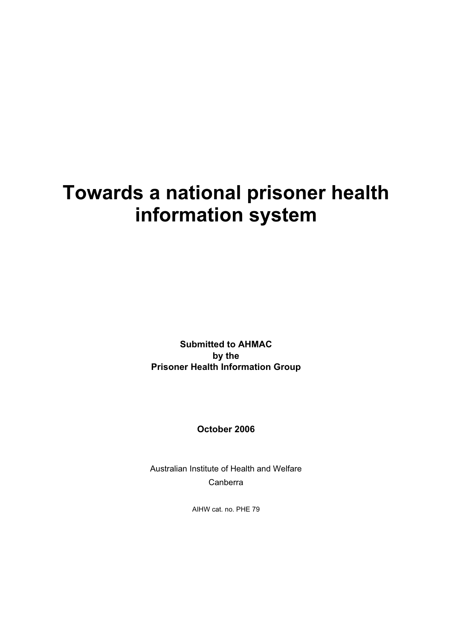# **Towards a national prisoner health information system**

**Submitted to AHMAC by the Prisoner Health Information Group** 

**October 2006** 

Australian Institute of Health and Welfare Canberra

AIHW cat. no. PHE 79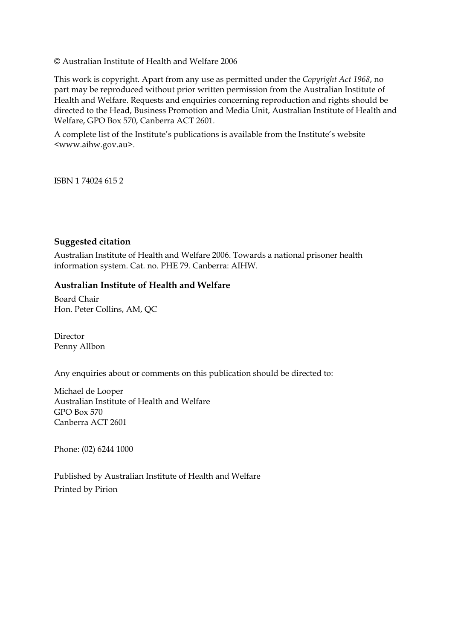© Australian Institute of Health and Welfare 2006

This work is copyright. Apart from any use as permitted under the *Copyright Act 1968*, no part may be reproduced without prior written permission from the Australian Institute of Health and Welfare. Requests and enquiries concerning reproduction and rights should be directed to the Head, Business Promotion and Media Unit, Australian Institute of Health and Welfare, GPO Box 570, Canberra ACT 2601.

A complete list of the Institute's publications is available from the Institute's website <www.aihw.gov.au>.

ISBN 1 74024 615 2

#### **Suggested citation**

Australian Institute of Health and Welfare 2006. Towards a national prisoner health information system. Cat. no. PHE 79. Canberra: AIHW.

#### **Australian Institute of Health and Welfare**

Board Chair Hon. Peter Collins, AM, QC

Director Penny Allbon

Any enquiries about or comments on this publication should be directed to:

Michael de Looper Australian Institute of Health and Welfare GPO Box 570 Canberra ACT 2601

Phone: (02) 6244 1000

Published by Australian Institute of Health and Welfare Printed by Pirion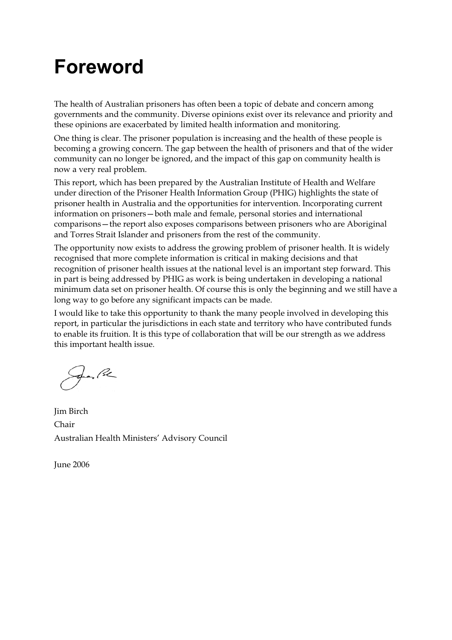# **Foreword**

The health of Australian prisoners has often been a topic of debate and concern among governments and the community. Diverse opinions exist over its relevance and priority and these opinions are exacerbated by limited health information and monitoring.

One thing is clear. The prisoner population is increasing and the health of these people is becoming a growing concern. The gap between the health of prisoners and that of the wider community can no longer be ignored, and the impact of this gap on community health is now a very real problem.

This report, which has been prepared by the Australian Institute of Health and Welfare under direction of the Prisoner Health Information Group (PHIG) highlights the state of prisoner health in Australia and the opportunities for intervention. Incorporating current information on prisoners—both male and female, personal stories and international comparisons—the report also exposes comparisons between prisoners who are Aboriginal and Torres Strait Islander and prisoners from the rest of the community.

The opportunity now exists to address the growing problem of prisoner health. It is widely recognised that more complete information is critical in making decisions and that recognition of prisoner health issues at the national level is an important step forward. This in part is being addressed by PHIG as work is being undertaken in developing a national minimum data set on prisoner health. Of course this is only the beginning and we still have a long way to go before any significant impacts can be made.

I would like to take this opportunity to thank the many people involved in developing this report, in particular the jurisdictions in each state and territory who have contributed funds to enable its fruition. It is this type of collaboration that will be our strength as we address this important health issue.

fran Pe

Jim Birch Chair Australian Health Ministers' Advisory Council

June 2006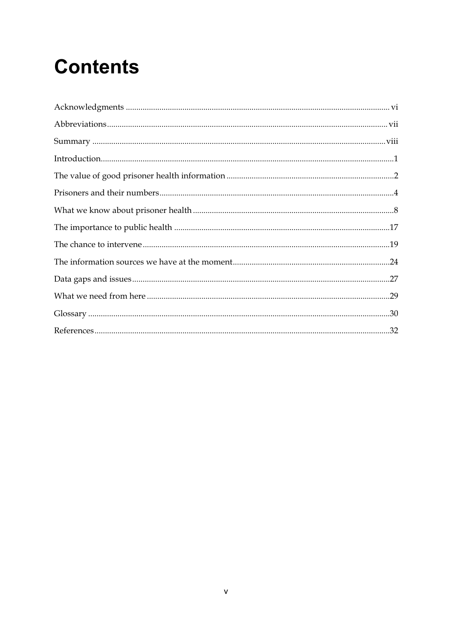# **Contents**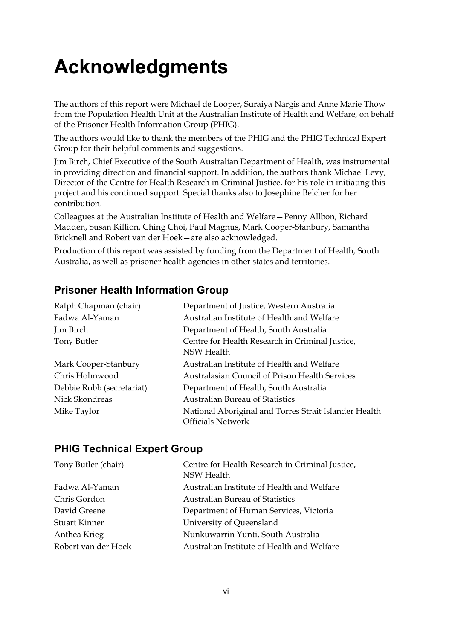# **Acknowledgments**

The authors of this report were Michael de Looper, Suraiya Nargis and Anne Marie Thow from the Population Health Unit at the Australian Institute of Health and Welfare, on behalf of the Prisoner Health Information Group (PHIG).

The authors would like to thank the members of the PHIG and the PHIG Technical Expert Group for their helpful comments and suggestions.

Jim Birch, Chief Executive of the South Australian Department of Health, was instrumental in providing direction and financial support. In addition, the authors thank Michael Levy, Director of the Centre for Health Research in Criminal Justice, for his role in initiating this project and his continued support. Special thanks also to Josephine Belcher for her contribution.

Colleagues at the Australian Institute of Health and Welfare—Penny Allbon, Richard Madden, Susan Killion, Ching Choi, Paul Magnus, Mark Cooper-Stanbury, Samantha Bricknell and Robert van der Hoek—are also acknowledged.

Production of this report was assisted by funding from the Department of Health, South Australia, as well as prisoner health agencies in other states and territories.

### **Prisoner Health Information Group**

| Ralph Chapman (chair)     | Department of Justice, Western Australia                                          |
|---------------------------|-----------------------------------------------------------------------------------|
| Fadwa Al-Yaman            | Australian Institute of Health and Welfare                                        |
| Jim Birch                 | Department of Health, South Australia                                             |
| Tony Butler               | Centre for Health Research in Criminal Justice,<br><b>NSW Health</b>              |
| Mark Cooper-Stanbury      | Australian Institute of Health and Welfare                                        |
| Chris Holmwood            | Australasian Council of Prison Health Services                                    |
| Debbie Robb (secretariat) | Department of Health, South Australia                                             |
| Nick Skondreas            | <b>Australian Bureau of Statistics</b>                                            |
| Mike Taylor               | National Aboriginal and Torres Strait Islander Health<br><b>Officials Network</b> |

### **PHIG Technical Expert Group**

| Tony Butler (chair)  | Centre for Health Research in Criminal Justice,<br>NSW Health |
|----------------------|---------------------------------------------------------------|
| Fadwa Al-Yaman       | Australian Institute of Health and Welfare                    |
| Chris Gordon         | <b>Australian Bureau of Statistics</b>                        |
| David Greene         | Department of Human Services, Victoria                        |
| <b>Stuart Kinner</b> | University of Queensland                                      |
| Anthea Krieg         | Nunkuwarrin Yunti, South Australia                            |
| Robert van der Hoek  | Australian Institute of Health and Welfare                    |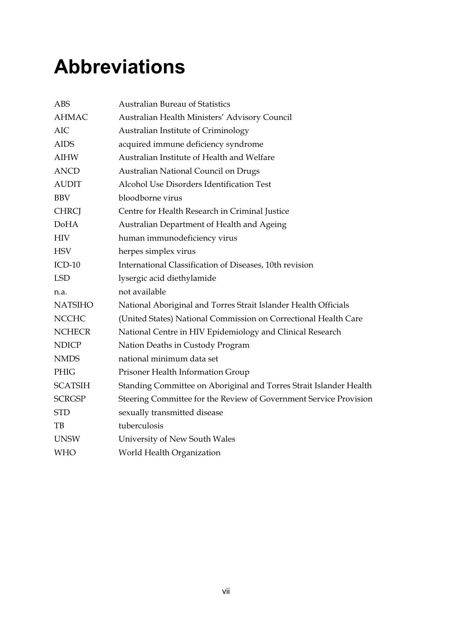# **Abbreviations**

| <b>ABS</b>     | <b>Australian Bureau of Statistics</b>                             |
|----------------|--------------------------------------------------------------------|
| <b>AHMAC</b>   | Australian Health Ministers' Advisory Council                      |
| <b>AIC</b>     | Australian Institute of Criminology                                |
| <b>AIDS</b>    | acquired immune deficiency syndrome                                |
| <b>AIHW</b>    | Australian Institute of Health and Welfare                         |
| <b>ANCD</b>    | Australian National Council on Drugs                               |
| <b>AUDIT</b>   | Alcohol Use Disorders Identification Test                          |
| <b>BBV</b>     | bloodborne virus                                                   |
| <b>CHRCJ</b>   | Centre for Health Research in Criminal Justice                     |
| <b>DoHA</b>    | Australian Department of Health and Ageing                         |
| <b>HIV</b>     | human immunodeficiency virus                                       |
| <b>HSV</b>     | herpes simplex virus                                               |
| $ICD-10$       | International Classification of Diseases, 10th revision            |
| <b>LSD</b>     | lysergic acid diethylamide                                         |
| n.a.           | not available                                                      |
| <b>NATSIHO</b> | National Aboriginal and Torres Strait Islander Health Officials    |
| <b>NCCHC</b>   | (United States) National Commission on Correctional Health Care    |
| <b>NCHECR</b>  | National Centre in HIV Epidemiology and Clinical Research          |
| <b>NDICP</b>   | Nation Deaths in Custody Program                                   |
| <b>NMDS</b>    | national minimum data set                                          |
| <b>PHIG</b>    | Prisoner Health Information Group                                  |
| <b>SCATSIH</b> | Standing Committee on Aboriginal and Torres Strait Islander Health |
| <b>SCRGSP</b>  | Steering Committee for the Review of Government Service Provision  |
| <b>STD</b>     | sexually transmitted disease                                       |
| TB             | tuberculosis                                                       |
| <b>UNSW</b>    | University of New South Wales                                      |
| <b>WHO</b>     | World Health Organization                                          |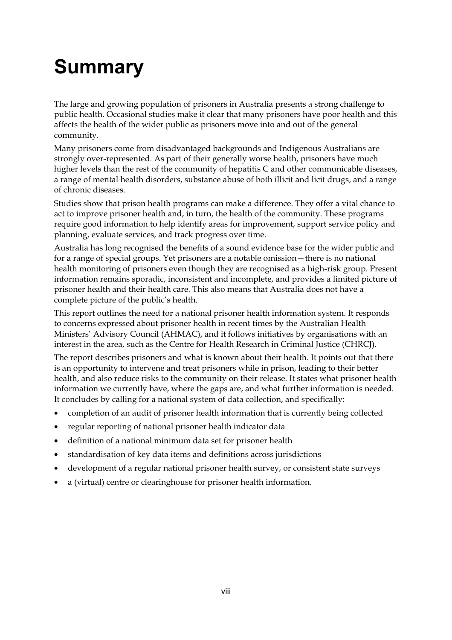# **Summary**

The large and growing population of prisoners in Australia presents a strong challenge to public health. Occasional studies make it clear that many prisoners have poor health and this affects the health of the wider public as prisoners move into and out of the general community.

Many prisoners come from disadvantaged backgrounds and Indigenous Australians are strongly over-represented. As part of their generally worse health, prisoners have much higher levels than the rest of the community of hepatitis C and other communicable diseases, a range of mental health disorders, substance abuse of both illicit and licit drugs, and a range of chronic diseases.

Studies show that prison health programs can make a difference. They offer a vital chance to act to improve prisoner health and, in turn, the health of the community. These programs require good information to help identify areas for improvement, support service policy and planning, evaluate services, and track progress over time.

Australia has long recognised the benefits of a sound evidence base for the wider public and for a range of special groups. Yet prisoners are a notable omission—there is no national health monitoring of prisoners even though they are recognised as a high-risk group. Present information remains sporadic, inconsistent and incomplete, and provides a limited picture of prisoner health and their health care. This also means that Australia does not have a complete picture of the public's health.

This report outlines the need for a national prisoner health information system. It responds to concerns expressed about prisoner health in recent times by the Australian Health Ministers' Advisory Council (AHMAC), and it follows initiatives by organisations with an interest in the area, such as the Centre for Health Research in Criminal Justice (CHRCJ).

The report describes prisoners and what is known about their health. It points out that there is an opportunity to intervene and treat prisoners while in prison, leading to their better health, and also reduce risks to the community on their release. It states what prisoner health information we currently have, where the gaps are, and what further information is needed. It concludes by calling for a national system of data collection, and specifically:

- completion of an audit of prisoner health information that is currently being collected
- regular reporting of national prisoner health indicator data
- definition of a national minimum data set for prisoner health
- standardisation of key data items and definitions across jurisdictions
- development of a regular national prisoner health survey, or consistent state surveys
- a (virtual) centre or clearinghouse for prisoner health information.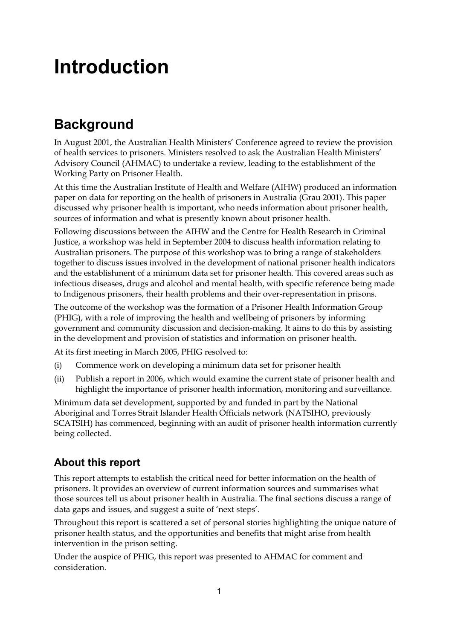# **Introduction**

# **Background**

In August 2001, the Australian Health Ministers' Conference agreed to review the provision of health services to prisoners. Ministers resolved to ask the Australian Health Ministers' Advisory Council (AHMAC) to undertake a review, leading to the establishment of the Working Party on Prisoner Health.

At this time the Australian Institute of Health and Welfare (AIHW) produced an information paper on data for reporting on the health of prisoners in Australia (Grau 2001). This paper discussed why prisoner health is important, who needs information about prisoner health, sources of information and what is presently known about prisoner health.

Following discussions between the AIHW and the Centre for Health Research in Criminal Justice, a workshop was held in September 2004 to discuss health information relating to Australian prisoners. The purpose of this workshop was to bring a range of stakeholders together to discuss issues involved in the development of national prisoner health indicators and the establishment of a minimum data set for prisoner health. This covered areas such as infectious diseases, drugs and alcohol and mental health, with specific reference being made to Indigenous prisoners, their health problems and their over-representation in prisons.

The outcome of the workshop was the formation of a Prisoner Health Information Group (PHIG), with a role of improving the health and wellbeing of prisoners by informing government and community discussion and decision-making. It aims to do this by assisting in the development and provision of statistics and information on prisoner health.

At its first meeting in March 2005, PHIG resolved to:

- (i) Commence work on developing a minimum data set for prisoner health
- (ii) Publish a report in 2006, which would examine the current state of prisoner health and highlight the importance of prisoner health information, monitoring and surveillance.

Minimum data set development, supported by and funded in part by the National Aboriginal and Torres Strait Islander Health Officials network (NATSIHO, previously SCATSIH) has commenced, beginning with an audit of prisoner health information currently being collected.

### **About this report**

This report attempts to establish the critical need for better information on the health of prisoners. It provides an overview of current information sources and summarises what those sources tell us about prisoner health in Australia. The final sections discuss a range of data gaps and issues, and suggest a suite of 'next steps'.

Throughout this report is scattered a set of personal stories highlighting the unique nature of prisoner health status, and the opportunities and benefits that might arise from health intervention in the prison setting.

Under the auspice of PHIG, this report was presented to AHMAC for comment and consideration.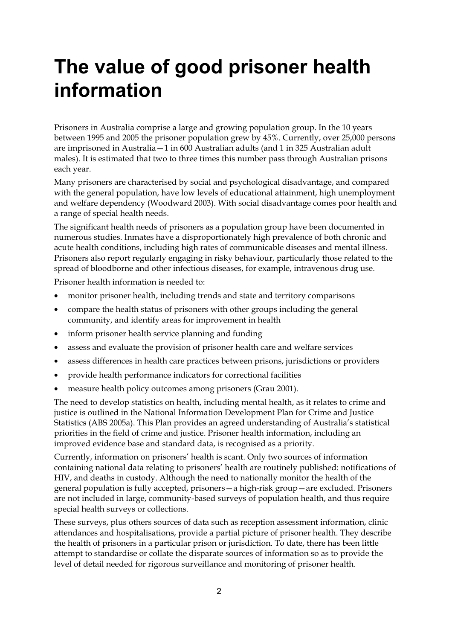# **The value of good prisoner health information**

Prisoners in Australia comprise a large and growing population group. In the 10 years between 1995 and 2005 the prisoner population grew by 45%. Currently, over 25,000 persons are imprisoned in Australia—1 in 600 Australian adults (and 1 in 325 Australian adult males). It is estimated that two to three times this number pass through Australian prisons each year.

Many prisoners are characterised by social and psychological disadvantage, and compared with the general population, have low levels of educational attainment, high unemployment and welfare dependency (Woodward 2003). With social disadvantage comes poor health and a range of special health needs.

The significant health needs of prisoners as a population group have been documented in numerous studies. Inmates have a disproportionately high prevalence of both chronic and acute health conditions, including high rates of communicable diseases and mental illness. Prisoners also report regularly engaging in risky behaviour, particularly those related to the spread of bloodborne and other infectious diseases, for example, intravenous drug use.

Prisoner health information is needed to:

- monitor prisoner health, including trends and state and territory comparisons
- compare the health status of prisoners with other groups including the general community, and identify areas for improvement in health
- inform prisoner health service planning and funding
- assess and evaluate the provision of prisoner health care and welfare services
- assess differences in health care practices between prisons, jurisdictions or providers
- provide health performance indicators for correctional facilities
- measure health policy outcomes among prisoners (Grau 2001).

The need to develop statistics on health, including mental health, as it relates to crime and justice is outlined in the National Information Development Plan for Crime and Justice Statistics (ABS 2005a). This Plan provides an agreed understanding of Australia's statistical priorities in the field of crime and justice. Prisoner health information, including an improved evidence base and standard data, is recognised as a priority.

Currently, information on prisoners' health is scant. Only two sources of information containing national data relating to prisoners' health are routinely published: notifications of HIV, and deaths in custody. Although the need to nationally monitor the health of the general population is fully accepted, prisoners—a high-risk group—are excluded. Prisoners are not included in large, community-based surveys of population health, and thus require special health surveys or collections.

These surveys, plus others sources of data such as reception assessment information, clinic attendances and hospitalisations, provide a partial picture of prisoner health. They describe the health of prisoners in a particular prison or jurisdiction. To date, there has been little attempt to standardise or collate the disparate sources of information so as to provide the level of detail needed for rigorous surveillance and monitoring of prisoner health.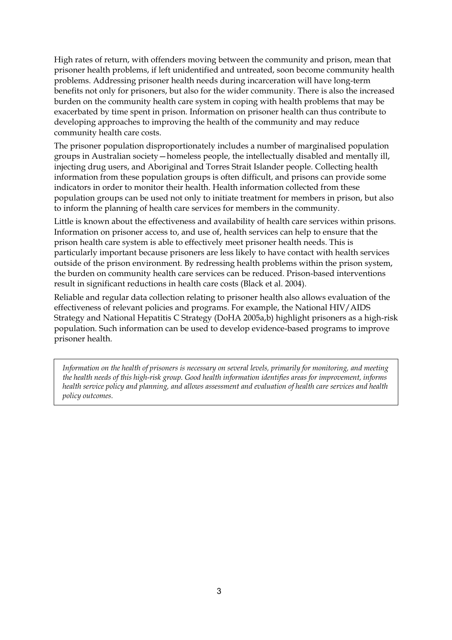High rates of return, with offenders moving between the community and prison, mean that prisoner health problems, if left unidentified and untreated, soon become community health problems. Addressing prisoner health needs during incarceration will have long-term benefits not only for prisoners, but also for the wider community. There is also the increased burden on the community health care system in coping with health problems that may be exacerbated by time spent in prison. Information on prisoner health can thus contribute to developing approaches to improving the health of the community and may reduce community health care costs.

The prisoner population disproportionately includes a number of marginalised population groups in Australian society—homeless people, the intellectually disabled and mentally ill, injecting drug users, and Aboriginal and Torres Strait Islander people. Collecting health information from these population groups is often difficult, and prisons can provide some indicators in order to monitor their health. Health information collected from these population groups can be used not only to initiate treatment for members in prison, but also to inform the planning of health care services for members in the community.

Little is known about the effectiveness and availability of health care services within prisons. Information on prisoner access to, and use of, health services can help to ensure that the prison health care system is able to effectively meet prisoner health needs. This is particularly important because prisoners are less likely to have contact with health services outside of the prison environment. By redressing health problems within the prison system, the burden on community health care services can be reduced. Prison-based interventions result in significant reductions in health care costs (Black et al. 2004).

Reliable and regular data collection relating to prisoner health also allows evaluation of the effectiveness of relevant policies and programs. For example, the National HIV/AIDS Strategy and National Hepatitis C Strategy (DoHA 2005a,b) highlight prisoners as a high-risk population. Such information can be used to develop evidence-based programs to improve prisoner health.

*Information on the health of prisoners is necessary on several levels, primarily for monitoring, and meeting the health needs of this high-risk group. Good health information identifies areas for improvement, informs health service policy and planning, and allows assessment and evaluation of health care services and health policy outcomes.*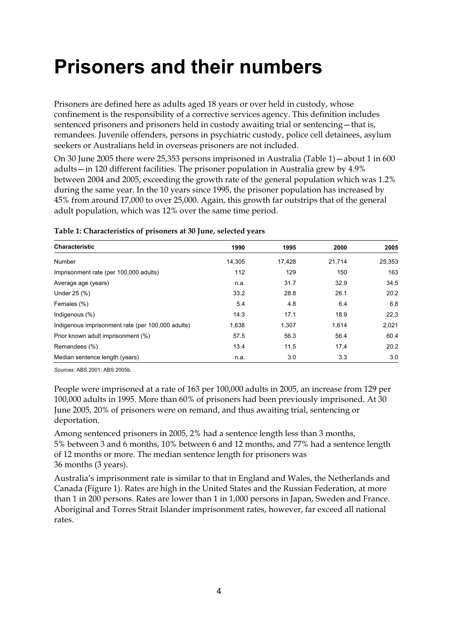# **Prisoners and their numbers**

Prisoners are defined here as adults aged 18 years or over held in custody, whose confinement is the responsibility of a corrective services agency. This definition includes sentenced prisoners and prisoners held in custody awaiting trial or sentencing—that is, remandees. Juvenile offenders, persons in psychiatric custody, police cell detainees, asylum seekers or Australians held in overseas prisoners are not included.

On 30 June 2005 there were 25,353 persons imprisoned in Australia (Table 1)—about 1 in 600 adults—in 120 different facilities. The prisoner population in Australia grew by 4.9% between 2004 and 2005, exceeding the growth rate of the general population which was 1.2% during the same year. In the 10 years since 1995, the prisoner population has increased by 45% from around 17,000 to over 25,000. Again, this growth far outstrips that of the general adult population, which was 12% over the same time period.

| <b>Characteristic</b>                             | 1990   | 1995   | 2000   | 2005   |
|---------------------------------------------------|--------|--------|--------|--------|
| Number                                            | 14.305 | 17.428 | 21.714 | 25,353 |
| Imprisonment rate (per 100,000 adults)            | 112    | 129    | 150    | 163    |
| Average age (years)                               | n.a.   | 31.7   | 32.9   | 34.5   |
| Under 25 (%)                                      | 33.2   | 28.8   | 26.1   | 20.2   |
| Females (%)                                       | 5.4    | 4.8    | 6.4    | 6.8    |
| Indigenous $(\%)$                                 | 14.3   | 17.1   | 18.9   | 22.3   |
| Indigenous imprisonment rate (per 100,000 adults) | 1,638  | 1,307  | 1.614  | 2,021  |
| Prior known adult imprisonment (%)                | 57.5   | 56.3   | 56.4   | 60.4   |
| Remandees (%)                                     | 13.4   | 11.5   | 17.4   | 20.2   |
| Median sentence length (years)                    | n.a.   | 3.0    | 3.3    | 3.0    |

#### **Table 1: Characteristics of prisoners at 30 June, selected years**

*Sources:* ABS 2001; ABS 2005b.

People were imprisoned at a rate of 163 per 100,000 adults in 2005, an increase from 129 per 100,000 adults in 1995. More than 60% of prisoners had been previously imprisoned. At 30 June 2005, 20% of prisoners were on remand, and thus awaiting trial, sentencing or deportation.

Among sentenced prisoners in 2005, 2% had a sentence length less than 3 months, 5% between 3 and 6 months, 10% between 6 and 12 months, and 77% had a sentence length of 12 months or more. The median sentence length for prisoners was 36 months (3 years).

Australia's imprisonment rate is similar to that in England and Wales, the Netherlands and Canada (Figure 1). Rates are high in the United States and the Russian Federation, at more than 1 in 200 persons. Rates are lower than 1 in 1,000 persons in Japan, Sweden and France. Aboriginal and Torres Strait Islander imprisonment rates, however, far exceed all national rates.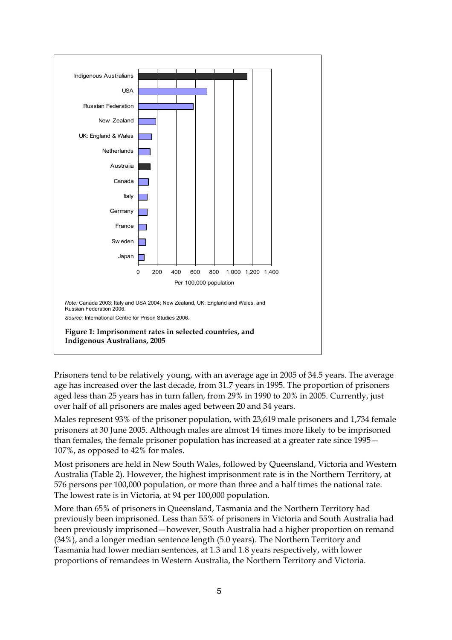

Prisoners tend to be relatively young, with an average age in 2005 of 34.5 years. The average age has increased over the last decade, from 31.7 years in 1995. The proportion of prisoners aged less than 25 years has in turn fallen, from 29% in 1990 to 20% in 2005. Currently, just over half of all prisoners are males aged between 20 and 34 years.

Males represent 93% of the prisoner population, with 23,619 male prisoners and 1,734 female prisoners at 30 June 2005. Although males are almost 14 times more likely to be imprisoned than females, the female prisoner population has increased at a greater rate since 1995— 107%, as opposed to 42% for males.

Most prisoners are held in New South Wales, followed by Queensland, Victoria and Western Australia (Table 2). However, the highest imprisonment rate is in the Northern Territory, at 576 persons per 100,000 population, or more than three and a half times the national rate. The lowest rate is in Victoria, at 94 per 100,000 population.

More than 65% of prisoners in Queensland, Tasmania and the Northern Territory had previously been imprisoned. Less than 55% of prisoners in Victoria and South Australia had been previously imprisoned—however, South Australia had a higher proportion on remand (34%), and a longer median sentence length (5.0 years). The Northern Territory and Tasmania had lower median sentences, at 1.3 and 1.8 years respectively, with lower proportions of remandees in Western Australia, the Northern Territory and Victoria.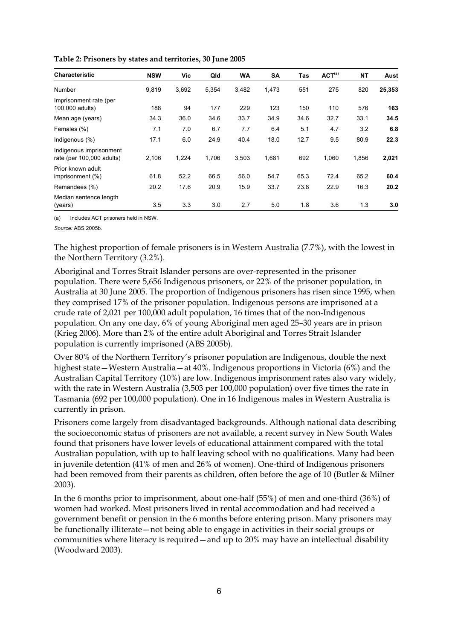| <b>Characteristic</b>                                | <b>NSW</b> | Vic   | Qld   | <b>WA</b> | <b>SA</b> | Tas  | ACT <sup>(a)</sup> | <b>NT</b> | Aust   |
|------------------------------------------------------|------------|-------|-------|-----------|-----------|------|--------------------|-----------|--------|
| Number                                               | 9,819      | 3,692 | 5,354 | 3,482     | 1,473     | 551  | 275                | 820       | 25,353 |
| Imprisonment rate (per<br>100,000 adults)            | 188        | 94    | 177   | 229       | 123       | 150  | 110                | 576       | 163    |
| Mean age (years)                                     | 34.3       | 36.0  | 34.6  | 33.7      | 34.9      | 34.6 | 32.7               | 33.1      | 34.5   |
| Females (%)                                          | 7.1        | 7.0   | 6.7   | 7.7       | 6.4       | 5.1  | 4.7                | 3.2       | 6.8    |
| Indigenous (%)                                       | 17.1       | 6.0   | 24.9  | 40.4      | 18.0      | 12.7 | 9.5                | 80.9      | 22.3   |
| Indigenous imprisonment<br>rate (per 100,000 adults) | 2,106      | 1,224 | 1,706 | 3,503     | 1,681     | 692  | 1,060              | 1,856     | 2,021  |
| Prior known adult<br>imprisonment (%)                | 61.8       | 52.2  | 66.5  | 56.0      | 54.7      | 65.3 | 72.4               | 65.2      | 60.4   |
| Remandees (%)                                        | 20.2       | 17.6  | 20.9  | 15.9      | 33.7      | 23.8 | 22.9               | 16.3      | 20.2   |
| Median sentence length<br>(years)                    | 3.5        | 3.3   | 3.0   | 2.7       | 5.0       | 1.8  | 3.6                | 1.3       | 3.0    |

**Table 2: Prisoners by states and territories, 30 June 2005** 

(a) Includes ACT prisoners held in NSW.

*Source:* ABS 2005b.

The highest proportion of female prisoners is in Western Australia (7.7%), with the lowest in the Northern Territory (3.2%).

Aboriginal and Torres Strait Islander persons are over-represented in the prisoner population. There were 5,656 Indigenous prisoners, or 22% of the prisoner population, in Australia at 30 June 2005. The proportion of Indigenous prisoners has risen since 1995, when they comprised 17% of the prisoner population. Indigenous persons are imprisoned at a crude rate of 2,021 per 100,000 adult population, 16 times that of the non-Indigenous population. On any one day, 6% of young Aboriginal men aged 25–30 years are in prison (Krieg 2006). More than 2% of the entire adult Aboriginal and Torres Strait Islander population is currently imprisoned (ABS 2005b).

Over 80% of the Northern Territory's prisoner population are Indigenous, double the next highest state—Western Australia—at 40%. Indigenous proportions in Victoria (6%) and the Australian Capital Territory (10%) are low. Indigenous imprisonment rates also vary widely, with the rate in Western Australia (3,503 per 100,000 population) over five times the rate in Tasmania (692 per 100,000 population). One in 16 Indigenous males in Western Australia is currently in prison.

Prisoners come largely from disadvantaged backgrounds. Although national data describing the socioeconomic status of prisoners are not available, a recent survey in New South Wales found that prisoners have lower levels of educational attainment compared with the total Australian population, with up to half leaving school with no qualifications. Many had been in juvenile detention (41% of men and 26% of women). One-third of Indigenous prisoners had been removed from their parents as children, often before the age of 10 (Butler & Milner 2003).

In the 6 months prior to imprisonment, about one-half (55%) of men and one-third (36%) of women had worked. Most prisoners lived in rental accommodation and had received a government benefit or pension in the 6 months before entering prison. Many prisoners may be functionally illiterate—not being able to engage in activities in their social groups or communities where literacy is required—and up to 20% may have an intellectual disability (Woodward 2003).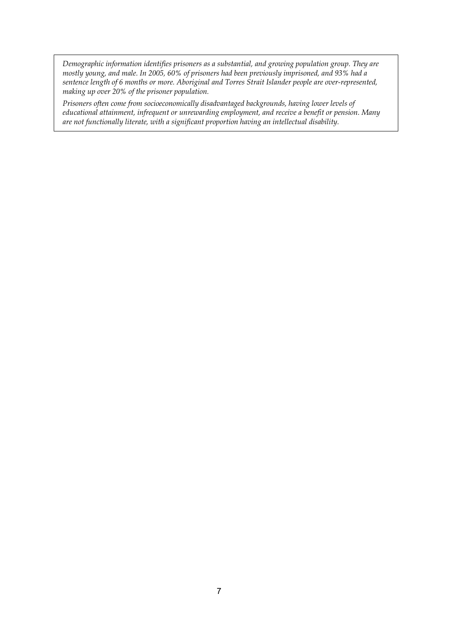*Demographic information identifies prisoners as a substantial, and growing population group. They are mostly young, and male. In 2005, 60% of prisoners had been previously imprisoned, and 93% had a sentence length of 6 months or more. Aboriginal and Torres Strait Islander people are over-represented, making up over 20% of the prisoner population.* 

*Prisoners often come from socioeconomically disadvantaged backgrounds, having lower levels of educational attainment, infrequent or unrewarding employment, and receive a benefit or pension. Many are not functionally literate, with a significant proportion having an intellectual disability.*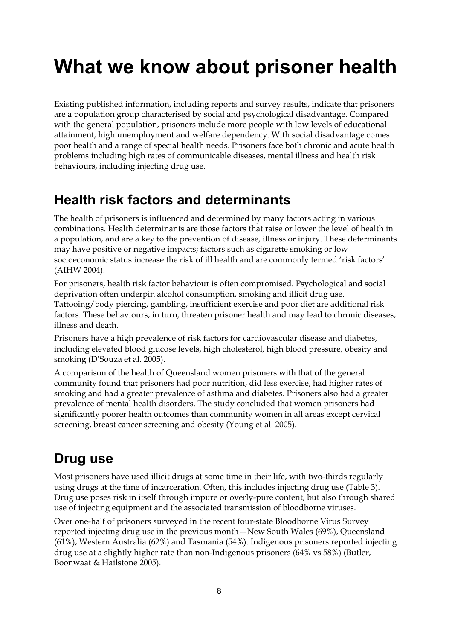# **What we know about prisoner health**

Existing published information, including reports and survey results, indicate that prisoners are a population group characterised by social and psychological disadvantage. Compared with the general population, prisoners include more people with low levels of educational attainment, high unemployment and welfare dependency. With social disadvantage comes poor health and a range of special health needs. Prisoners face both chronic and acute health problems including high rates of communicable diseases, mental illness and health risk behaviours, including injecting drug use.

## **Health risk factors and determinants**

The health of prisoners is influenced and determined by many factors acting in various combinations. Health determinants are those factors that raise or lower the level of health in a population, and are a key to the prevention of disease, illness or injury. These determinants may have positive or negative impacts; factors such as cigarette smoking or low socioeconomic status increase the risk of ill health and are commonly termed 'risk factors' (AIHW 2004).

For prisoners, health risk factor behaviour is often compromised. Psychological and social deprivation often underpin alcohol consumption, smoking and illicit drug use. Tattooing/body piercing, gambling, insufficient exercise and poor diet are additional risk factors. These behaviours, in turn, threaten prisoner health and may lead to chronic diseases, illness and death.

Prisoners have a high prevalence of risk factors for cardiovascular disease and diabetes, including elevated blood glucose levels, high cholesterol, high blood pressure, obesity and smoking (D'Souza et al. 2005).

A comparison of the health of Queensland women prisoners with that of the general community found that prisoners had poor nutrition, did less exercise, had higher rates of smoking and had a greater prevalence of asthma and diabetes. Prisoners also had a greater prevalence of mental health disorders. The study concluded that women prisoners had significantly poorer health outcomes than community women in all areas except cervical screening, breast cancer screening and obesity (Young et al. 2005).

## **Drug use**

Most prisoners have used illicit drugs at some time in their life, with two-thirds regularly using drugs at the time of incarceration. Often, this includes injecting drug use (Table 3). Drug use poses risk in itself through impure or overly-pure content, but also through shared use of injecting equipment and the associated transmission of bloodborne viruses.

Over one-half of prisoners surveyed in the recent four-state Bloodborne Virus Survey reported injecting drug use in the previous month—New South Wales (69%), Queensland (61%), Western Australia (62%) and Tasmania (54%). Indigenous prisoners reported injecting drug use at a slightly higher rate than non-Indigenous prisoners (64% vs 58%) (Butler, Boonwaat & Hailstone 2005).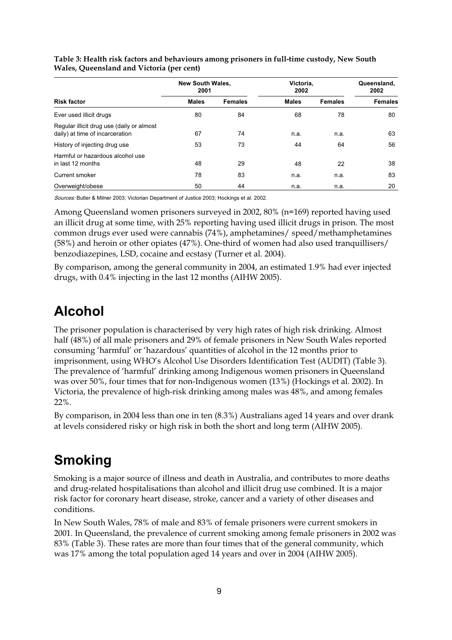|                                                                              | <b>New South Wales,</b><br>2001 |                | Victoria,<br>2002 | Queensland,<br>2002 |                |
|------------------------------------------------------------------------------|---------------------------------|----------------|-------------------|---------------------|----------------|
| <b>Risk factor</b>                                                           | <b>Males</b>                    | <b>Females</b> | <b>Males</b>      | <b>Females</b>      | <b>Females</b> |
| Ever used illicit drugs                                                      | 80                              | 84             | 68                | 78                  | 80             |
| Regular illicit drug use (daily or almost<br>daily) at time of incarceration | 67                              | 74             | n.a.              | n.a.                | 63             |
| History of injecting drug use                                                | 53                              | 73             | 44                | 64                  | 56             |
| Harmful or hazardous alcohol use<br>in last 12 months                        | 48                              | 29             | 48                | 22                  | 38             |
| Current smoker                                                               | 78                              | 83             | n.a.              | n.a.                | 83             |
| Overweight/obese                                                             | 50                              | 44             | n.a.              | n.a.                | 20             |

**Table 3: Health risk factors and behaviours among prisoners in full-time custody, New South Wales, Queensland and Victoria (per cent)** 

Sources: Butler & Milner 2003; Victorian Department of Justice 2003; Hockings et al. 2002.

Among Queensland women prisoners surveyed in 2002, 80% (n=169) reported having used an illicit drug at some time, with 25% reporting having used illicit drugs in prison. The most common drugs ever used were cannabis (74%), amphetamines/ speed/methamphetamines (58%) and heroin or other opiates (47%). One-third of women had also used tranquillisers/ benzodiazepines, LSD, cocaine and ecstasy (Turner et al. 2004).

By comparison, among the general community in 2004, an estimated 1.9% had ever injected drugs, with 0.4% injecting in the last 12 months (AIHW 2005).

### **Alcohol**

The prisoner population is characterised by very high rates of high risk drinking. Almost half (48%) of all male prisoners and 29% of female prisoners in New South Wales reported consuming 'harmful' or 'hazardous' quantities of alcohol in the 12 months prior to imprisonment, using WHO's Alcohol Use Disorders Identification Test (AUDIT) (Table 3). The prevalence of 'harmful' drinking among Indigenous women prisoners in Queensland was over 50%, four times that for non-Indigenous women (13%) (Hockings et al. 2002). In Victoria, the prevalence of high-risk drinking among males was 48%, and among females 22%.

By comparison, in 2004 less than one in ten (8.3%) Australians aged 14 years and over drank at levels considered risky or high risk in both the short and long term (AIHW 2005).

## **Smoking**

Smoking is a major source of illness and death in Australia, and contributes to more deaths and drug-related hospitalisations than alcohol and illicit drug use combined. It is a major risk factor for coronary heart disease, stroke, cancer and a variety of other diseases and conditions.

In New South Wales, 78% of male and 83% of female prisoners were current smokers in 2001. In Queensland, the prevalence of current smoking among female prisoners in 2002 was 83% (Table 3). These rates are more than four times that of the general community, which was 17% among the total population aged 14 years and over in 2004 (AIHW 2005).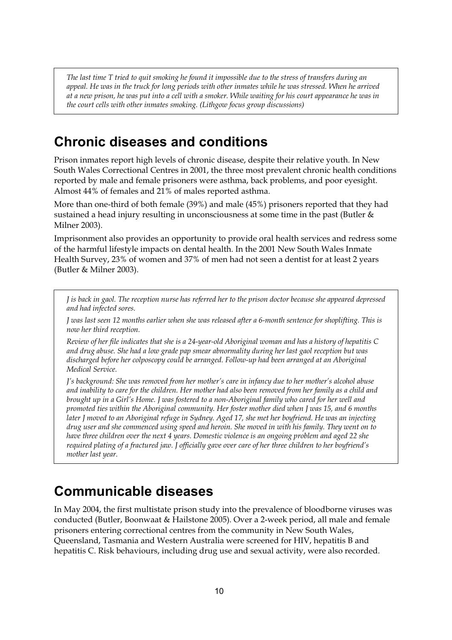*The last time T tried to quit smoking he found it impossible due to the stress of transfers during an appeal. He was in the truck for long periods with other inmates while he was stressed. When he arrived at a new prison, he was put into a cell with a smoker. While waiting for his court appearance he was in the court cells with other inmates smoking. (Lithgow focus group discussions)* 

### **Chronic diseases and conditions**

Prison inmates report high levels of chronic disease, despite their relative youth. In New South Wales Correctional Centres in 2001, the three most prevalent chronic health conditions reported by male and female prisoners were asthma, back problems, and poor eyesight. Almost 44% of females and 21% of males reported asthma.

More than one-third of both female (39%) and male (45%) prisoners reported that they had sustained a head injury resulting in unconsciousness at some time in the past (Butler & Milner 2003).

Imprisonment also provides an opportunity to provide oral health services and redress some of the harmful lifestyle impacts on dental health. In the 2001 New South Wales Inmate Health Survey, 23% of women and 37% of men had not seen a dentist for at least 2 years (Butler & Milner 2003).

*J is back in gaol. The reception nurse has referred her to the prison doctor because she appeared depressed and had infected sores.* 

*J was last seen 12 months earlier when she was released after a 6-month sentence for shoplifting. This is now her third reception.* 

*Review of her file indicates that she is a 24-year-old Aboriginal woman and has a history of hepatitis C and drug abuse. She had a low grade pap smear abnormality during her last gaol reception but was discharged before her colposcopy could be arranged. Follow-up had been arranged at an Aboriginal Medical Service.* 

*J's background: She was removed from her mother's care in infancy due to her mother's alcohol abuse and inability to care for the children. Her mother had also been removed from her family as a child and brought up in a Girl's Home. J was fostered to a non-Aboriginal family who cared for her well and promoted ties within the Aboriginal community. Her foster mother died when J was 15, and 6 months later J moved to an Aboriginal refuge in Sydney. Aged 17, she met her boyfriend. He was an injecting drug user and she commenced using speed and heroin. She moved in with his family. They went on to have three children over the next 4 years. Domestic violence is an ongoing problem and aged 22 she required plating of a fractured jaw. J officially gave over care of her three children to her boyfriend's mother last year.* 

### **Communicable diseases**

In May 2004, the first multistate prison study into the prevalence of bloodborne viruses was conducted (Butler, Boonwaat & Hailstone 2005). Over a 2-week period, all male and female prisoners entering correctional centres from the community in New South Wales, Queensland, Tasmania and Western Australia were screened for HIV, hepatitis B and hepatitis C. Risk behaviours, including drug use and sexual activity, were also recorded.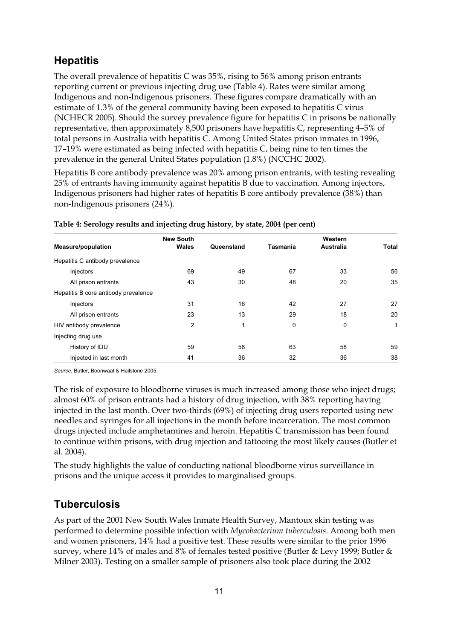### **Hepatitis**

The overall prevalence of hepatitis C was 35%, rising to 56% among prison entrants reporting current or previous injecting drug use (Table 4). Rates were similar among Indigenous and non-Indigenous prisoners. These figures compare dramatically with an estimate of 1.3% of the general community having been exposed to hepatitis C virus (NCHECR 2005). Should the survey prevalence figure for hepatitis  $C$  in prisons be nationally representative, then approximately 8,500 prisoners have hepatitis C, representing 4–5% of total persons in Australia with hepatitis C. Among United States prison inmates in 1996, 17–19% were estimated as being infected with hepatitis C, being nine to ten times the prevalence in the general United States population (1.8%) (NCCHC 2002).

Hepatitis B core antibody prevalence was 20% among prison entrants, with testing revealing 25% of entrants having immunity against hepatitis B due to vaccination. Among injectors, Indigenous prisoners had higher rates of hepatitis B core antibody prevalence (38%) than non-Indigenous prisoners (24%).

|                                      | <b>New South</b> |            |          | Western   |       |
|--------------------------------------|------------------|------------|----------|-----------|-------|
| <b>Measure/population</b>            | Wales            | Queensland | Tasmania | Australia | Total |
| Hepatitis C antibody prevalence      |                  |            |          |           |       |
| Injectors                            | 69               | 49         | 67       | 33        | 56    |
| All prison entrants                  | 43               | 30         | 48       | 20        | 35    |
| Hepatitis B core antibody prevalence |                  |            |          |           |       |
| Injectors                            | 31               | 16         | 42       | 27        | 27    |
| All prison entrants                  | 23               | 13         | 29       | 18        | 20    |
| HIV antibody prevalence              | 2                | 1          | 0        | 0         | 1     |
| Injecting drug use                   |                  |            |          |           |       |
| History of IDU                       | 59               | 58         | 63       | 58        | 59    |
| Injected in last month               | 41               | 36         | 32       | 36        | 38    |

#### **Table 4: Serology results and injecting drug history, by state, 2004 (per cent)**

*Source:* Butler, Boonwaat & Hailstone 2005.

The risk of exposure to bloodborne viruses is much increased among those who inject drugs; almost 60% of prison entrants had a history of drug injection, with 38% reporting having injected in the last month. Over two-thirds (69%) of injecting drug users reported using new needles and syringes for all injections in the month before incarceration. The most common drugs injected include amphetamines and heroin. Hepatitis C transmission has been found to continue within prisons, with drug injection and tattooing the most likely causes (Butler et al. 2004).

The study highlights the value of conducting national bloodborne virus surveillance in prisons and the unique access it provides to marginalised groups.

### **Tuberculosis**

As part of the 2001 New South Wales Inmate Health Survey, Mantoux skin testing was performed to determine possible infection with *Mycobacterium tuberculosis*. Among both men and women prisoners, 14% had a positive test. These results were similar to the prior 1996 survey, where 14% of males and 8% of females tested positive (Butler & Levy 1999; Butler & Milner 2003). Testing on a smaller sample of prisoners also took place during the 2002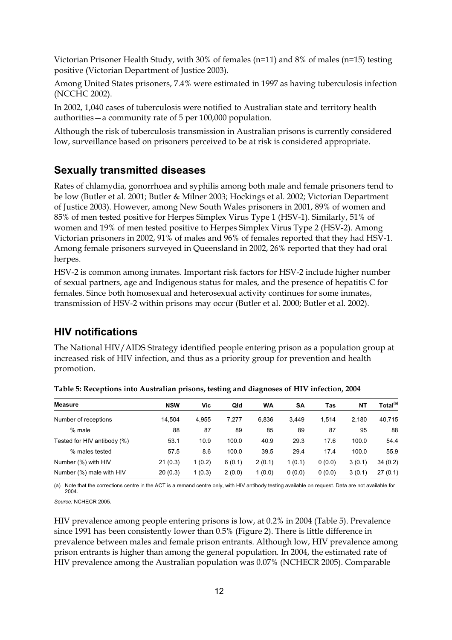Victorian Prisoner Health Study, with 30% of females (n=11) and 8% of males (n=15) testing positive (Victorian Department of Justice 2003).

Among United States prisoners, 7.4% were estimated in 1997 as having tuberculosis infection (NCCHC 2002).

In 2002, 1,040 cases of tuberculosis were notified to Australian state and territory health authorities—a community rate of 5 per 100,000 population.

Although the risk of tuberculosis transmission in Australian prisons is currently considered low, surveillance based on prisoners perceived to be at risk is considered appropriate.

#### **Sexually transmitted diseases**

Rates of chlamydia, gonorrhoea and syphilis among both male and female prisoners tend to be low (Butler et al. 2001; Butler & Milner 2003; Hockings et al. 2002; Victorian Department of Justice 2003). However, among New South Wales prisoners in 2001, 89% of women and 85% of men tested positive for Herpes Simplex Virus Type 1 (HSV-1). Similarly, 51% of women and 19% of men tested positive to Herpes Simplex Virus Type 2 (HSV-2). Among Victorian prisoners in 2002, 91% of males and 96% of females reported that they had HSV-1. Among female prisoners surveyed in Queensland in 2002, 26% reported that they had oral herpes.

HSV-2 is common among inmates. Important risk factors for HSV-2 include higher number of sexual partners, age and Indigenous status for males, and the presence of hepatitis C for females. Since both homosexual and heterosexual activity continues for some inmates, transmission of HSV-2 within prisons may occur (Butler et al. 2000; Butler et al. 2002).

### **HIV notifications**

The National HIV/AIDS Strategy identified people entering prison as a population group at increased risk of HIV infection, and thus as a priority group for prevention and health promotion.

| Measure                     | <b>NSW</b> | Vic    | Qld    | WA     | <b>SA</b> | Tas    | NΤ     | Total <sup>(a)</sup> |
|-----------------------------|------------|--------|--------|--------|-----------|--------|--------|----------------------|
| Number of receptions        | 14.504     | 4.955  | 7.277  | 6.836  | 3.449     | 1.514  | 2.180  | 40,715               |
| % male                      | 88         | 87     | 89     | 85     | 89        | 87     | 95     | 88                   |
| Tested for HIV antibody (%) | 53.1       | 10.9   | 100.0  | 40.9   | 29.3      | 17.6   | 100.0  | 54.4                 |
| % males tested              | 57.5       | 8.6    | 100.0  | 39.5   | 29.4      | 17.4   | 100.0  | 55.9                 |
| Number (%) with HIV         | 21(0.3)    | 1(0.2) | 6(0.1) | 2(0.1) | 1(0.1)    | 0(0.0) | 3(0.1) | 34(0.2)              |
| Number (%) male with HIV    | 20(0.3)    | 1(0.3) | 2(0.0) | 1(0.0) | 0(0.0)    | 0(0.0) | 3(0.1) | 27(0.1)              |

**Table 5: Receptions into Australian prisons, testing and diagnoses of HIV infection, 2004** 

(a) Note that the corrections centre in the ACT is a remand centre only, with HIV antibody testing available on request. Data are not available for 2004.

*Source:* NCHECR 2005.

HIV prevalence among people entering prisons is low, at 0.2% in 2004 (Table 5). Prevalence since 1991 has been consistently lower than 0.5% (Figure 2). There is little difference in prevalence between males and female prison entrants. Although low, HIV prevalence among prison entrants is higher than among the general population. In 2004, the estimated rate of HIV prevalence among the Australian population was 0.07% (NCHECR 2005). Comparable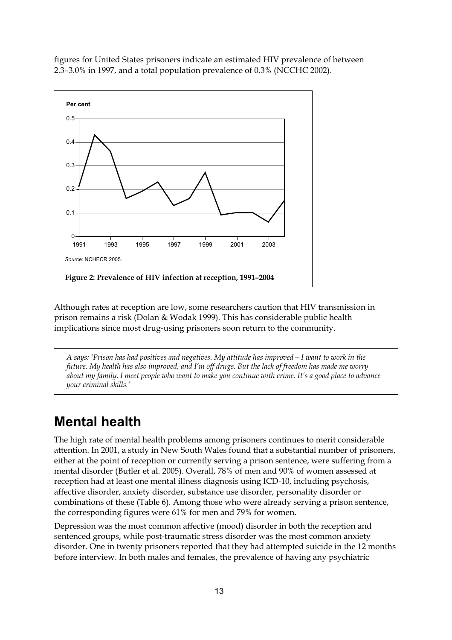figures for United States prisoners indicate an estimated HIV prevalence of between 2.3–3.0% in 1997, and a total population prevalence of 0.3% (NCCHC 2002).



Although rates at reception are low, some researchers caution that HIV transmission in prison remains a risk (Dolan & Wodak 1999). This has considerable public health implications since most drug-using prisoners soon return to the community.

*A says: 'Prison has had positives and negatives. My attitude has improved—I want to work in the future. My health has also improved, and I'm off drugs. But the lack of freedom has made me worry about my family. I meet people who want to make you continue with crime. It's a good place to advance your criminal skills.'* 

## **Mental health**

The high rate of mental health problems among prisoners continues to merit considerable attention. In 2001, a study in New South Wales found that a substantial number of prisoners, either at the point of reception or currently serving a prison sentence, were suffering from a mental disorder (Butler et al. 2005). Overall, 78% of men and 90% of women assessed at reception had at least one mental illness diagnosis using ICD-10, including psychosis, affective disorder, anxiety disorder, substance use disorder, personality disorder or combinations of these (Table 6). Among those who were already serving a prison sentence, the corresponding figures were 61% for men and 79% for women.

Depression was the most common affective (mood) disorder in both the reception and sentenced groups, while post-traumatic stress disorder was the most common anxiety disorder. One in twenty prisoners reported that they had attempted suicide in the 12 months before interview. In both males and females, the prevalence of having any psychiatric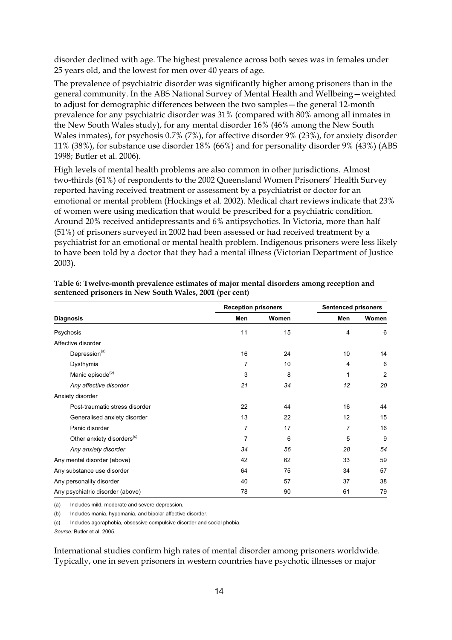disorder declined with age. The highest prevalence across both sexes was in females under 25 years old, and the lowest for men over 40 years of age.

The prevalence of psychiatric disorder was significantly higher among prisoners than in the general community. In the ABS National Survey of Mental Health and Wellbeing—weighted to adjust for demographic differences between the two samples—the general 12-month prevalence for any psychiatric disorder was 31% (compared with 80% among all inmates in the New South Wales study), for any mental disorder 16% (46% among the New South Wales inmates), for psychosis 0.7% (7%), for affective disorder 9% (23%), for anxiety disorder 11% (38%), for substance use disorder 18% (66%) and for personality disorder 9% (43%) (ABS 1998; Butler et al. 2006).

High levels of mental health problems are also common in other jurisdictions. Almost two-thirds (61%) of respondents to the 2002 Queensland Women Prisoners' Health Survey reported having received treatment or assessment by a psychiatrist or doctor for an emotional or mental problem (Hockings et al. 2002). Medical chart reviews indicate that 23% of women were using medication that would be prescribed for a psychiatric condition. Around 20% received antidepressants and 6% antipsychotics. In Victoria, more than half (51%) of prisoners surveyed in 2002 had been assessed or had received treatment by a psychiatrist for an emotional or mental health problem. Indigenous prisoners were less likely to have been told by a doctor that they had a mental illness (Victorian Department of Justice 2003).

|                                        | <b>Reception prisoners</b> |       | <b>Sentenced prisoners</b> |       |  |
|----------------------------------------|----------------------------|-------|----------------------------|-------|--|
| <b>Diagnosis</b>                       | Men                        | Women | Men                        | Women |  |
| Psychosis                              | 11                         | 15    | 4                          | 6     |  |
| Affective disorder                     |                            |       |                            |       |  |
| Depression <sup>(a)</sup>              | 16                         | 24    | 10                         | 14    |  |
| Dysthymia                              | 7                          | 10    | 4                          | 6     |  |
| Manic episode <sup>(b)</sup>           | 3                          | 8     | 1                          | 2     |  |
| Any affective disorder                 | 21                         | 34    | 12                         | 20    |  |
| Anxiety disorder                       |                            |       |                            |       |  |
| Post-traumatic stress disorder         | 22                         | 44    | 16                         | 44    |  |
| Generalised anxiety disorder           | 13                         | 22    | 12                         | 15    |  |
| Panic disorder                         | 7                          | 17    | 7                          | 16    |  |
| Other anxiety disorders <sup>(c)</sup> | 7                          | 6     | 5                          | 9     |  |
| Any anxiety disorder                   | 34                         | 56    | 28                         | 54    |  |
| Any mental disorder (above)            | 42                         | 62    | 33                         | 59    |  |
| Any substance use disorder             | 64                         | 75    | 34                         | 57    |  |
| Any personality disorder               | 40                         | 57    | 37                         | 38    |  |
| Any psychiatric disorder (above)       | 78                         | 90    | 61                         | 79    |  |

**Table 6: Twelve-month prevalence estimates of major mental disorders among reception and sentenced prisoners in New South Wales, 2001 (per cent)** 

(a) Includes mild, moderate and severe depression.

(b) Includes mania, hypomania, and bipolar affective disorder.

(c) Includes agoraphobia, obsessive compulsive disorder and social phobia.

*Source:* Butler et al. 2005.

International studies confirm high rates of mental disorder among prisoners worldwide. Typically, one in seven prisoners in western countries have psychotic illnesses or major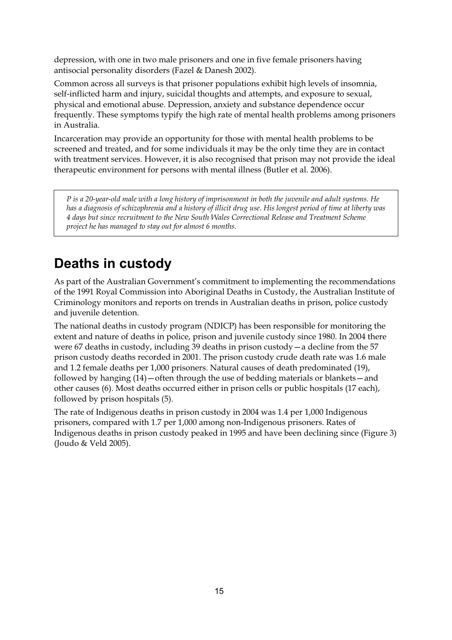depression, with one in two male prisoners and one in five female prisoners having antisocial personality disorders (Fazel & Danesh 2002).

Common across all surveys is that prisoner populations exhibit high levels of insomnia, self-inflicted harm and injury, suicidal thoughts and attempts, and exposure to sexual, physical and emotional abuse. Depression, anxiety and substance dependence occur frequently. These symptoms typify the high rate of mental health problems among prisoners in Australia.

Incarceration may provide an opportunity for those with mental health problems to be screened and treated, and for some individuals it may be the only time they are in contact with treatment services. However, it is also recognised that prison may not provide the ideal therapeutic environment for persons with mental illness (Butler et al. 2006).

*P is a 20-year-old male with a long history of imprisonment in both the juvenile and adult systems. He has a diagnosis of schizophrenia and a history of illicit drug use. His longest period of time at liberty was 4 days but since recruitment to the New South Wales Correctional Release and Treatment Scheme project he has managed to stay out for almost 6 months.* 

# **Deaths in custody**

As part of the Australian Government's commitment to implementing the recommendations of the 1991 Royal Commission into Aboriginal Deaths in Custody, the Australian Institute of Criminology monitors and reports on trends in Australian deaths in prison, police custody and juvenile detention.

The national deaths in custody program (NDICP) has been responsible for monitoring the extent and nature of deaths in police, prison and juvenile custody since 1980. In 2004 there were 67 deaths in custody, including 39 deaths in prison custody—a decline from the 57 prison custody deaths recorded in 2001. The prison custody crude death rate was 1.6 male and 1.2 female deaths per 1,000 prisoners. Natural causes of death predominated (19), followed by hanging (14)—often through the use of bedding materials or blankets—and other causes (6). Most deaths occurred either in prison cells or public hospitals (17 each), followed by prison hospitals (5).

The rate of Indigenous deaths in prison custody in 2004 was 1.4 per 1,000 Indigenous prisoners, compared with 1.7 per 1,000 among non-Indigenous prisoners. Rates of Indigenous deaths in prison custody peaked in 1995 and have been declining since (Figure 3) (Joudo & Veld 2005).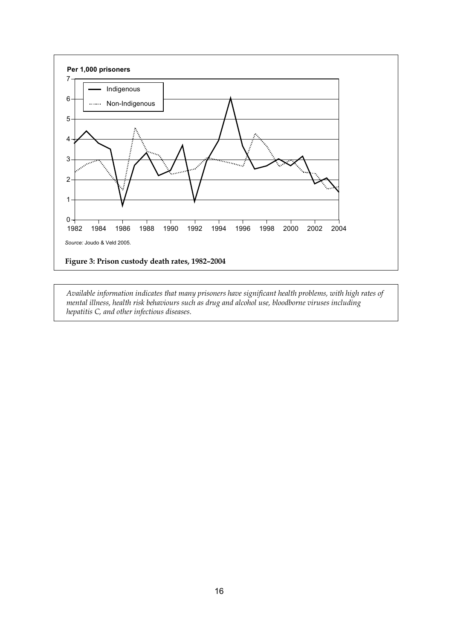

*Available information indicates that many prisoners have significant health problems, with high rates of mental illness, health risk behaviours such as drug and alcohol use, bloodborne viruses including hepatitis C, and other infectious diseases.*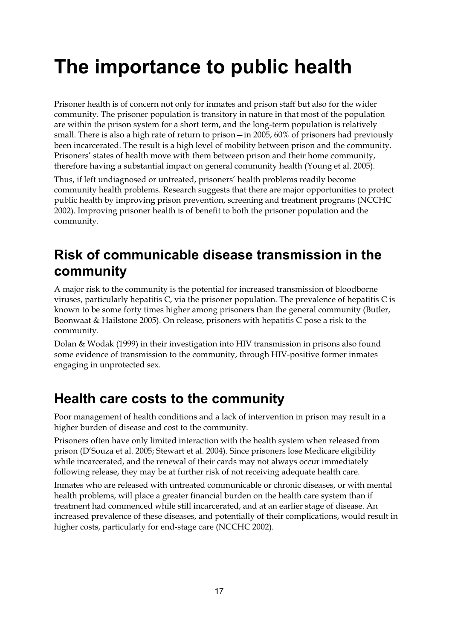# **The importance to public health**

Prisoner health is of concern not only for inmates and prison staff but also for the wider community. The prisoner population is transitory in nature in that most of the population are within the prison system for a short term, and the long-term population is relatively small. There is also a high rate of return to prison—in 2005, 60% of prisoners had previously been incarcerated. The result is a high level of mobility between prison and the community. Prisoners' states of health move with them between prison and their home community, therefore having a substantial impact on general community health (Young et al. 2005).

Thus, if left undiagnosed or untreated, prisoners' health problems readily become community health problems. Research suggests that there are major opportunities to protect public health by improving prison prevention, screening and treatment programs (NCCHC 2002). Improving prisoner health is of benefit to both the prisoner population and the community.

## **Risk of communicable disease transmission in the community**

A major risk to the community is the potential for increased transmission of bloodborne viruses, particularly hepatitis C, via the prisoner population. The prevalence of hepatitis C is known to be some forty times higher among prisoners than the general community (Butler, Boonwaat & Hailstone 2005). On release, prisoners with hepatitis C pose a risk to the community.

Dolan & Wodak (1999) in their investigation into HIV transmission in prisons also found some evidence of transmission to the community, through HIV-positive former inmates engaging in unprotected sex.

## **Health care costs to the community**

Poor management of health conditions and a lack of intervention in prison may result in a higher burden of disease and cost to the community.

Prisoners often have only limited interaction with the health system when released from prison (D'Souza et al. 2005; Stewart et al. 2004). Since prisoners lose Medicare eligibility while incarcerated, and the renewal of their cards may not always occur immediately following release, they may be at further risk of not receiving adequate health care.

Inmates who are released with untreated communicable or chronic diseases, or with mental health problems, will place a greater financial burden on the health care system than if treatment had commenced while still incarcerated, and at an earlier stage of disease. An increased prevalence of these diseases, and potentially of their complications, would result in higher costs, particularly for end-stage care (NCCHC 2002).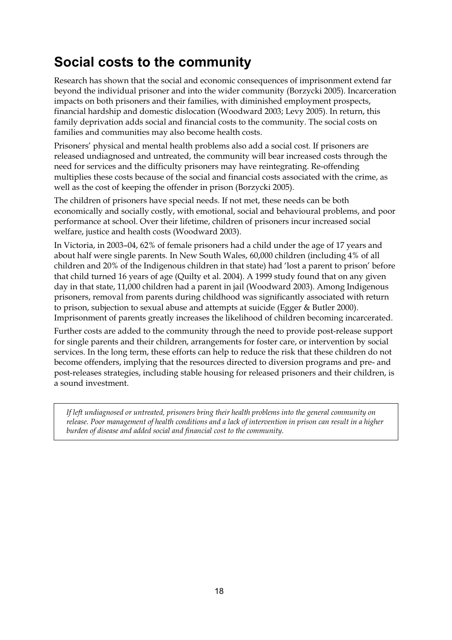# **Social costs to the community**

Research has shown that the social and economic consequences of imprisonment extend far beyond the individual prisoner and into the wider community (Borzycki 2005). Incarceration impacts on both prisoners and their families, with diminished employment prospects, financial hardship and domestic dislocation (Woodward 2003; Levy 2005). In return, this family deprivation adds social and financial costs to the community. The social costs on families and communities may also become health costs.

Prisoners' physical and mental health problems also add a social cost. If prisoners are released undiagnosed and untreated, the community will bear increased costs through the need for services and the difficulty prisoners may have reintegrating. Re-offending multiplies these costs because of the social and financial costs associated with the crime, as well as the cost of keeping the offender in prison (Borzycki 2005).

The children of prisoners have special needs. If not met, these needs can be both economically and socially costly, with emotional, social and behavioural problems, and poor performance at school. Over their lifetime, children of prisoners incur increased social welfare, justice and health costs (Woodward 2003).

In Victoria, in 2003–04, 62% of female prisoners had a child under the age of 17 years and about half were single parents. In New South Wales, 60,000 children (including 4% of all children and 20% of the Indigenous children in that state) had 'lost a parent to prison' before that child turned 16 years of age (Quilty et al. 2004). A 1999 study found that on any given day in that state, 11,000 children had a parent in jail (Woodward 2003). Among Indigenous prisoners, removal from parents during childhood was significantly associated with return to prison, subjection to sexual abuse and attempts at suicide (Egger & Butler 2000). Imprisonment of parents greatly increases the likelihood of children becoming incarcerated.

Further costs are added to the community through the need to provide post-release support for single parents and their children, arrangements for foster care, or intervention by social services. In the long term, these efforts can help to reduce the risk that these children do not become offenders, implying that the resources directed to diversion programs and pre- and post-releases strategies, including stable housing for released prisoners and their children, is a sound investment.

*If left undiagnosed or untreated, prisoners bring their health problems into the general community on release. Poor management of health conditions and a lack of intervention in prison can result in a higher burden of disease and added social and financial cost to the community.*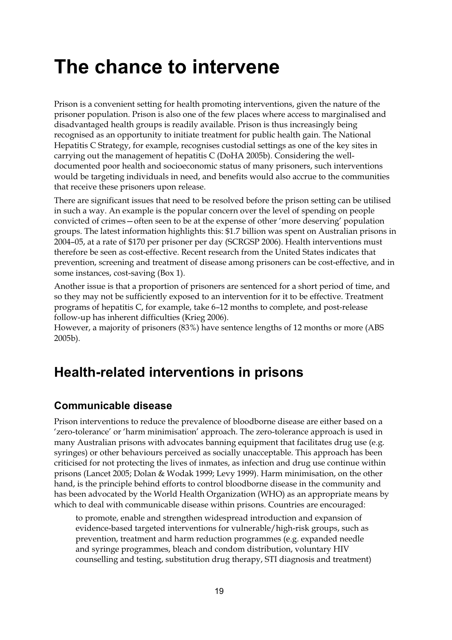# **The chance to intervene**

Prison is a convenient setting for health promoting interventions, given the nature of the prisoner population. Prison is also one of the few places where access to marginalised and disadvantaged health groups is readily available. Prison is thus increasingly being recognised as an opportunity to initiate treatment for public health gain. The National Hepatitis C Strategy, for example, recognises custodial settings as one of the key sites in carrying out the management of hepatitis C (DoHA 2005b). Considering the welldocumented poor health and socioeconomic status of many prisoners, such interventions would be targeting individuals in need, and benefits would also accrue to the communities that receive these prisoners upon release.

There are significant issues that need to be resolved before the prison setting can be utilised in such a way. An example is the popular concern over the level of spending on people convicted of crimes—often seen to be at the expense of other 'more deserving' population groups. The latest information highlights this: \$1.7 billion was spent on Australian prisons in 2004–05, at a rate of \$170 per prisoner per day (SCRGSP 2006). Health interventions must therefore be seen as cost-effective. Recent research from the United States indicates that prevention, screening and treatment of disease among prisoners can be cost-effective, and in some instances, cost-saving (Box 1).

Another issue is that a proportion of prisoners are sentenced for a short period of time, and so they may not be sufficiently exposed to an intervention for it to be effective. Treatment programs of hepatitis C, for example, take 6–12 months to complete, and post-release follow-up has inherent difficulties (Krieg 2006).

However, a majority of prisoners (83%) have sentence lengths of 12 months or more (ABS 2005b).

## **Health-related interventions in prisons**

### **Communicable disease**

Prison interventions to reduce the prevalence of bloodborne disease are either based on a 'zero-tolerance' or 'harm minimisation' approach. The zero-tolerance approach is used in many Australian prisons with advocates banning equipment that facilitates drug use (e.g. syringes) or other behaviours perceived as socially unacceptable. This approach has been criticised for not protecting the lives of inmates, as infection and drug use continue within prisons (Lancet 2005; Dolan & Wodak 1999; Levy 1999). Harm minimisation, on the other hand, is the principle behind efforts to control bloodborne disease in the community and has been advocated by the World Health Organization (WHO) as an appropriate means by which to deal with communicable disease within prisons. Countries are encouraged:

to promote, enable and strengthen widespread introduction and expansion of evidence-based targeted interventions for vulnerable/high-risk groups, such as prevention, treatment and harm reduction programmes (e.g. expanded needle and syringe programmes, bleach and condom distribution, voluntary HIV counselling and testing, substitution drug therapy, STI diagnosis and treatment)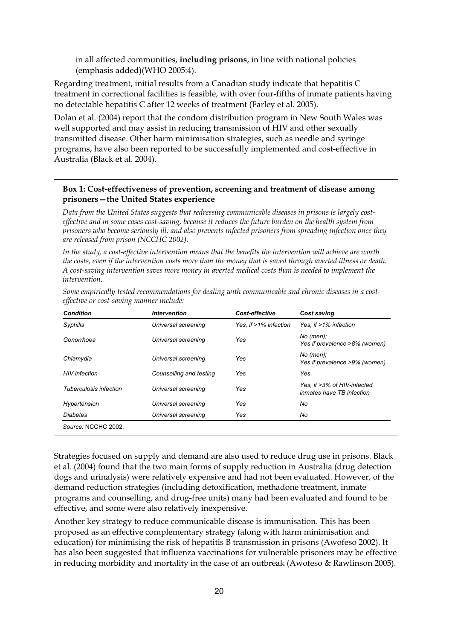in all affected communities, **including prisons**, in line with national policies (emphasis added)(WHO 2005:4).

Regarding treatment, initial results from a Canadian study indicate that hepatitis C treatment in correctional facilities is feasible, with over four-fifths of inmate patients having no detectable hepatitis C after 12 weeks of treatment (Farley et al. 2005).

Dolan et al. (2004) report that the condom distribution program in New South Wales was well supported and may assist in reducing transmission of HIV and other sexually transmitted disease. Other harm minimisation strategies, such as needle and syringe programs, have also been reported to be successfully implemented and cost-effective in Australia (Black et al. 2004).

#### **Box 1: Cost-effectiveness of prevention, screening and treatment of disease among prisoners—the United States experience**

*Data from the United States suggests that redressing communicable diseases in prisons is largely costeffective and in some cases cost-saving, because it reduces the future burden on the health system from prisoners who become seriously ill, and also prevents infected prisoners from spreading infection once they are released from prison (NCCHC 2002).* 

*In the study, a cost-effective intervention means that the benefits the intervention will achieve are worth the costs, even if the intervention costs more than the money that is saved through averted illness or death. A cost-saving intervention saves more money in averted medical costs than is needed to implement the intervention.* 

| <b>Condition</b>       | <b>Intervention</b>     | Cost-effective        | <b>Cost saving</b>                                       |
|------------------------|-------------------------|-----------------------|----------------------------------------------------------|
| Syphilis               | Universal screening     | Yes. if >1% infection | Yes. if $>1\%$ infection                                 |
| Gonorrhoea             | Universal screening     | Yes                   | $No$ (men);<br>Yes if prevalence >8% (women)             |
| Chlamydia              | Universal screening     | Yes                   | $No$ (men);<br>Yes if prevalence >9% (women)             |
| <b>HIV</b> infection   | Counselling and testing | Yes                   | Yes                                                      |
| Tuberculosis infection | Universal screening     | Yes                   | Yes, if >3% of HIV-infected<br>inmates have TB infection |
| Hypertension           | Universal screening     | Yes                   | No                                                       |
| Diabetes               | Universal screening     | Yes                   | No                                                       |

*Some empirically tested recommendations for dealing with communicable and chronic diseases in a costeffective or cost-saving manner include:* 

Strategies focused on supply and demand are also used to reduce drug use in prisons. Black et al. (2004) found that the two main forms of supply reduction in Australia (drug detection dogs and urinalysis) were relatively expensive and had not been evaluated. However, of the demand reduction strategies (including detoxification, methadone treatment, inmate programs and counselling, and drug-free units) many had been evaluated and found to be effective, and some were also relatively inexpensive.

Another key strategy to reduce communicable disease is immunisation. This has been proposed as an effective complementary strategy (along with harm minimisation and education) for minimising the risk of hepatitis B transmission in prisons (Awofeso 2002). It has also been suggested that influenza vaccinations for vulnerable prisoners may be effective in reducing morbidity and mortality in the case of an outbreak (Awofeso & Rawlinson 2005).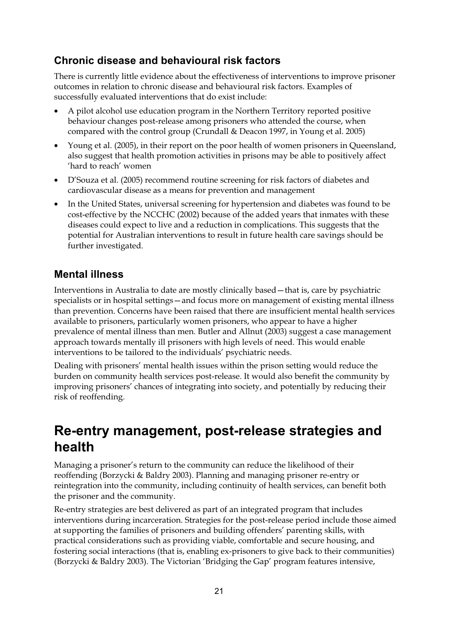### **Chronic disease and behavioural risk factors**

There is currently little evidence about the effectiveness of interventions to improve prisoner outcomes in relation to chronic disease and behavioural risk factors. Examples of successfully evaluated interventions that do exist include:

- A pilot alcohol use education program in the Northern Territory reported positive behaviour changes post-release among prisoners who attended the course, when compared with the control group (Crundall & Deacon 1997, in Young et al. 2005)
- Young et al. (2005), in their report on the poor health of women prisoners in Queensland, also suggest that health promotion activities in prisons may be able to positively affect 'hard to reach' women
- D'Souza et al. (2005) recommend routine screening for risk factors of diabetes and cardiovascular disease as a means for prevention and management
- In the United States, universal screening for hypertension and diabetes was found to be cost-effective by the NCCHC (2002) because of the added years that inmates with these diseases could expect to live and a reduction in complications. This suggests that the potential for Australian interventions to result in future health care savings should be further investigated.

### **Mental illness**

Interventions in Australia to date are mostly clinically based—that is, care by psychiatric specialists or in hospital settings—and focus more on management of existing mental illness than prevention. Concerns have been raised that there are insufficient mental health services available to prisoners, particularly women prisoners, who appear to have a higher prevalence of mental illness than men. Butler and Allnut (2003) suggest a case management approach towards mentally ill prisoners with high levels of need. This would enable interventions to be tailored to the individuals' psychiatric needs.

Dealing with prisoners' mental health issues within the prison setting would reduce the burden on community health services post-release. It would also benefit the community by improving prisoners' chances of integrating into society, and potentially by reducing their risk of reoffending.

## **Re-entry management, post-release strategies and health**

Managing a prisoner's return to the community can reduce the likelihood of their reoffending (Borzycki & Baldry 2003). Planning and managing prisoner re-entry or reintegration into the community, including continuity of health services, can benefit both the prisoner and the community.

Re-entry strategies are best delivered as part of an integrated program that includes interventions during incarceration. Strategies for the post-release period include those aimed at supporting the families of prisoners and building offenders' parenting skills, with practical considerations such as providing viable, comfortable and secure housing, and fostering social interactions (that is, enabling ex-prisoners to give back to their communities) (Borzycki & Baldry 2003). The Victorian 'Bridging the Gap' program features intensive,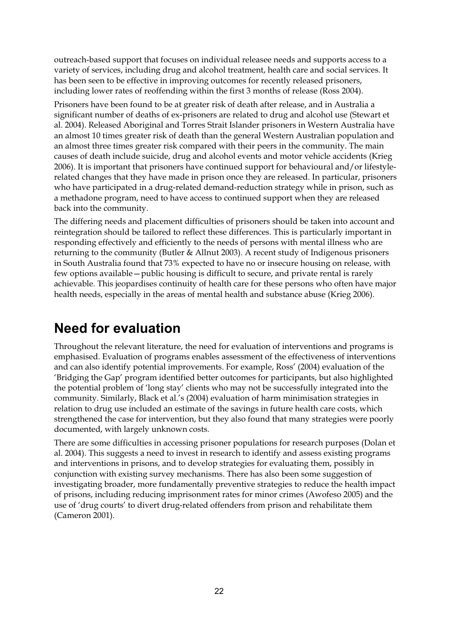outreach-based support that focuses on individual releasee needs and supports access to a variety of services, including drug and alcohol treatment, health care and social services. It has been seen to be effective in improving outcomes for recently released prisoners, including lower rates of reoffending within the first 3 months of release (Ross 2004).

Prisoners have been found to be at greater risk of death after release, and in Australia a significant number of deaths of ex-prisoners are related to drug and alcohol use (Stewart et al. 2004). Released Aboriginal and Torres Strait Islander prisoners in Western Australia have an almost 10 times greater risk of death than the general Western Australian population and an almost three times greater risk compared with their peers in the community. The main causes of death include suicide, drug and alcohol events and motor vehicle accidents (Krieg 2006). It is important that prisoners have continued support for behavioural and/or lifestylerelated changes that they have made in prison once they are released. In particular, prisoners who have participated in a drug-related demand-reduction strategy while in prison, such as a methadone program, need to have access to continued support when they are released back into the community.

The differing needs and placement difficulties of prisoners should be taken into account and reintegration should be tailored to reflect these differences. This is particularly important in responding effectively and efficiently to the needs of persons with mental illness who are returning to the community (Butler & Allnut 2003). A recent study of Indigenous prisoners in South Australia found that 73% expected to have no or insecure housing on release, with few options available—public housing is difficult to secure, and private rental is rarely achievable. This jeopardises continuity of health care for these persons who often have major health needs, especially in the areas of mental health and substance abuse (Krieg 2006).

### **Need for evaluation**

Throughout the relevant literature, the need for evaluation of interventions and programs is emphasised. Evaluation of programs enables assessment of the effectiveness of interventions and can also identify potential improvements. For example, Ross' (2004) evaluation of the 'Bridging the Gap' program identified better outcomes for participants, but also highlighted the potential problem of 'long stay' clients who may not be successfully integrated into the community. Similarly, Black et al.'s (2004) evaluation of harm minimisation strategies in relation to drug use included an estimate of the savings in future health care costs, which strengthened the case for intervention, but they also found that many strategies were poorly documented, with largely unknown costs.

There are some difficulties in accessing prisoner populations for research purposes (Dolan et al. 2004). This suggests a need to invest in research to identify and assess existing programs and interventions in prisons, and to develop strategies for evaluating them, possibly in conjunction with existing survey mechanisms. There has also been some suggestion of investigating broader, more fundamentally preventive strategies to reduce the health impact of prisons, including reducing imprisonment rates for minor crimes (Awofeso 2005) and the use of 'drug courts' to divert drug-related offenders from prison and rehabilitate them (Cameron 2001).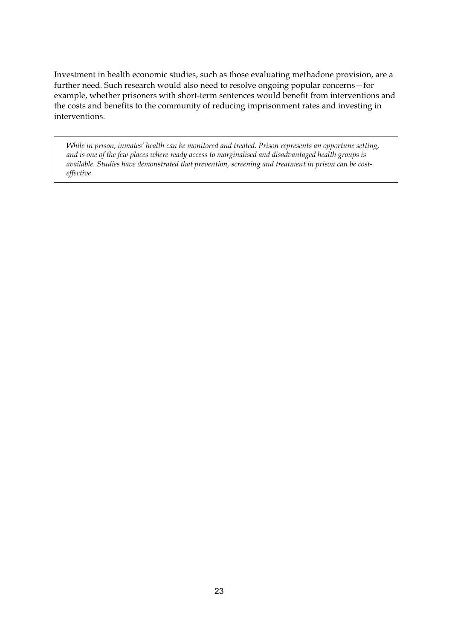Investment in health economic studies, such as those evaluating methadone provision, are a further need. Such research would also need to resolve ongoing popular concerns—for example, whether prisoners with short-term sentences would benefit from interventions and the costs and benefits to the community of reducing imprisonment rates and investing in interventions.

*While in prison, inmates' health can be monitored and treated. Prison represents an opportune setting, and is one of the few places where ready access to marginalised and disadvantaged health groups is available. Studies have demonstrated that prevention, screening and treatment in prison can be costeffective.*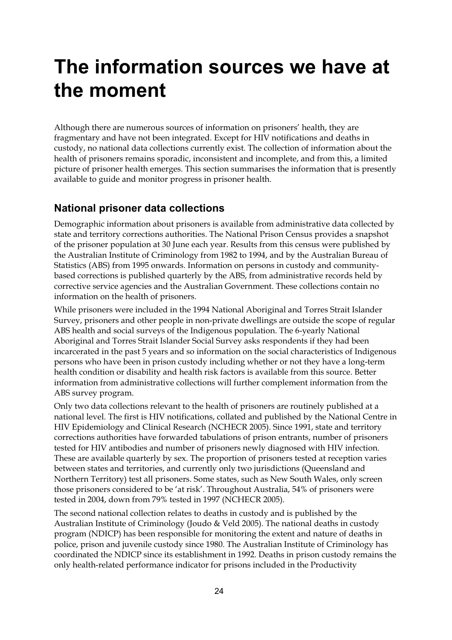# **The information sources we have at the moment**

Although there are numerous sources of information on prisoners' health, they are fragmentary and have not been integrated. Except for HIV notifications and deaths in custody, no national data collections currently exist. The collection of information about the health of prisoners remains sporadic, inconsistent and incomplete, and from this, a limited picture of prisoner health emerges. This section summarises the information that is presently available to guide and monitor progress in prisoner health.

#### **National prisoner data collections**

Demographic information about prisoners is available from administrative data collected by state and territory corrections authorities. The National Prison Census provides a snapshot of the prisoner population at 30 June each year. Results from this census were published by the Australian Institute of Criminology from 1982 to 1994, and by the Australian Bureau of Statistics (ABS) from 1995 onwards. Information on persons in custody and communitybased corrections is published quarterly by the ABS, from administrative records held by corrective service agencies and the Australian Government. These collections contain no information on the health of prisoners.

While prisoners were included in the 1994 National Aboriginal and Torres Strait Islander Survey, prisoners and other people in non-private dwellings are outside the scope of regular ABS health and social surveys of the Indigenous population. The 6-yearly National Aboriginal and Torres Strait Islander Social Survey asks respondents if they had been incarcerated in the past 5 years and so information on the social characteristics of Indigenous persons who have been in prison custody including whether or not they have a long-term health condition or disability and health risk factors is available from this source. Better information from administrative collections will further complement information from the ABS survey program.

Only two data collections relevant to the health of prisoners are routinely published at a national level. The first is HIV notifications, collated and published by the National Centre in HIV Epidemiology and Clinical Research (NCHECR 2005). Since 1991, state and territory corrections authorities have forwarded tabulations of prison entrants, number of prisoners tested for HIV antibodies and number of prisoners newly diagnosed with HIV infection. These are available quarterly by sex. The proportion of prisoners tested at reception varies between states and territories, and currently only two jurisdictions (Queensland and Northern Territory) test all prisoners. Some states, such as New South Wales, only screen those prisoners considered to be 'at risk'. Throughout Australia, 54% of prisoners were tested in 2004, down from 79% tested in 1997 (NCHECR 2005).

The second national collection relates to deaths in custody and is published by the Australian Institute of Criminology (Joudo & Veld 2005). The national deaths in custody program (NDICP) has been responsible for monitoring the extent and nature of deaths in police, prison and juvenile custody since 1980. The Australian Institute of Criminology has coordinated the NDICP since its establishment in 1992. Deaths in prison custody remains the only health-related performance indicator for prisons included in the Productivity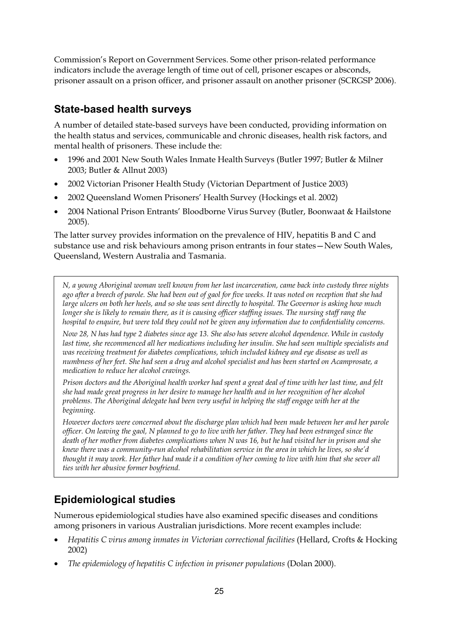Commission's Report on Government Services. Some other prison-related performance indicators include the average length of time out of cell, prisoner escapes or absconds, prisoner assault on a prison officer, and prisoner assault on another prisoner (SCRGSP 2006).

### **State-based health surveys**

A number of detailed state-based surveys have been conducted, providing information on the health status and services, communicable and chronic diseases, health risk factors, and mental health of prisoners. These include the:

- 1996 and 2001 New South Wales Inmate Health Surveys (Butler 1997; Butler & Milner 2003; Butler & Allnut 2003)
- 2002 Victorian Prisoner Health Study (Victorian Department of Justice 2003)
- 2002 Queensland Women Prisoners' Health Survey (Hockings et al. 2002)
- 2004 National Prison Entrants' Bloodborne Virus Survey (Butler, Boonwaat & Hailstone 2005).

The latter survey provides information on the prevalence of HIV, hepatitis B and C and substance use and risk behaviours among prison entrants in four states—New South Wales, Queensland, Western Australia and Tasmania.

*N, a young Aboriginal woman well known from her last incarceration, came back into custody three nights ago after a breech of parole. She had been out of gaol for five weeks. It was noted on reception that she had large ulcers on both her heels, and so she was sent directly to hospital. The Governor is asking how much longer she is likely to remain there, as it is causing officer staffing issues. The nursing staff rang the hospital to enquire, but were told they could not be given any information due to confidentiality concerns.* 

*Now 28, N has had type 2 diabetes since age 13. She also has severe alcohol dependence. While in custody last time, she recommenced all her medications including her insulin. She had seen multiple specialists and was receiving treatment for diabetes complications, which included kidney and eye disease as well as numbness of her feet. She had seen a drug and alcohol specialist and has been started on Acamprosate, a medication to reduce her alcohol cravings.* 

*Prison doctors and the Aboriginal health worker had spent a great deal of time with her last time, and felt she had made great progress in her desire to manage her health and in her recognition of her alcohol problems. The Aboriginal delegate had been very useful in helping the staff engage with her at the beginning.* 

*However doctors were concerned about the discharge plan which had been made between her and her parole officer. On leaving the gaol, N planned to go to live with her father. They had been estranged since the death of her mother from diabetes complications when N was 16, but he had visited her in prison and she knew there was a community-run alcohol rehabilitation service in the area in which he lives, so she'd thought it may work. Her father had made it a condition of her coming to live with him that she sever all ties with her abusive former boyfriend.* 

### **Epidemiological studies**

Numerous epidemiological studies have also examined specific diseases and conditions among prisoners in various Australian jurisdictions. More recent examples include:

- *Hepatitis C virus among inmates in Victorian correctional facilities* (Hellard, Crofts & Hocking 2002)
- *The epidemiology of hepatitis C infection in prisoner populations* (Dolan 2000).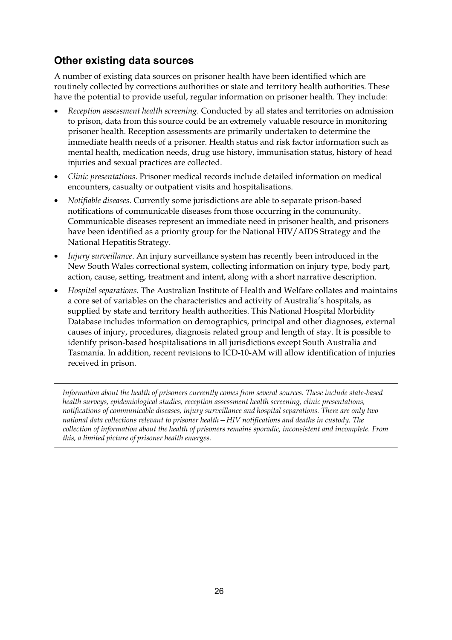### **Other existing data sources**

A number of existing data sources on prisoner health have been identified which are routinely collected by corrections authorities or state and territory health authorities. These have the potential to provide useful, regular information on prisoner health. They include:

- *Reception assessment health screening*. Conducted by all states and territories on admission to prison, data from this source could be an extremely valuable resource in monitoring prisoner health. Reception assessments are primarily undertaken to determine the immediate health needs of a prisoner. Health status and risk factor information such as mental health, medication needs, drug use history, immunisation status, history of head injuries and sexual practices are collected.
- *Clinic presentations*. Prisoner medical records include detailed information on medical encounters, casualty or outpatient visits and hospitalisations.
- *Notifiable diseases*. Currently some jurisdictions are able to separate prison-based notifications of communicable diseases from those occurring in the community. Communicable diseases represent an immediate need in prisoner health, and prisoners have been identified as a priority group for the National HIV/AIDS Strategy and the National Hepatitis Strategy.
- *Injury surveillance*. An injury surveillance system has recently been introduced in the New South Wales correctional system, collecting information on injury type, body part, action, cause, setting, treatment and intent, along with a short narrative description.
- *Hospital separations*. The Australian Institute of Health and Welfare collates and maintains a core set of variables on the characteristics and activity of Australia's hospitals, as supplied by state and territory health authorities. This National Hospital Morbidity Database includes information on demographics, principal and other diagnoses, external causes of injury, procedures, diagnosis related group and length of stay. It is possible to identify prison-based hospitalisations in all jurisdictions except South Australia and Tasmania. In addition, recent revisions to ICD-10-AM will allow identification of injuries received in prison.

*Information about the health of prisoners currently comes from several sources. These include state-based health surveys, epidemiological studies, reception assessment health screening, clinic presentations, notifications of communicable diseases, injury surveillance and hospital separations. There are only two national data collections relevant to prisoner health—HIV notifications and deaths in custody. The collection of information about the health of prisoners remains sporadic, inconsistent and incomplete. From this, a limited picture of prisoner health emerges.*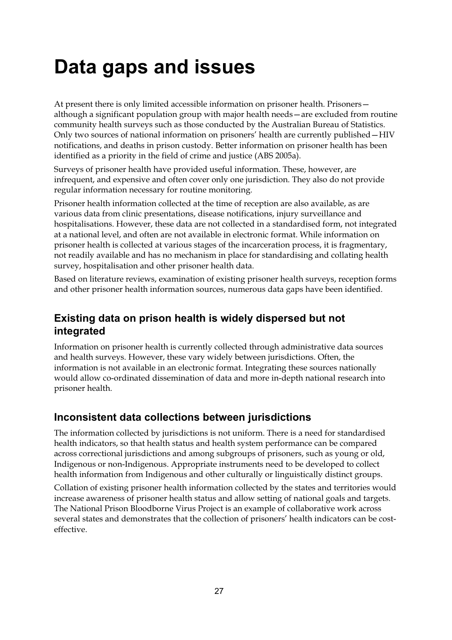# **Data gaps and issues**

At present there is only limited accessible information on prisoner health. Prisoners although a significant population group with major health needs—are excluded from routine community health surveys such as those conducted by the Australian Bureau of Statistics. Only two sources of national information on prisoners' health are currently published—HIV notifications, and deaths in prison custody. Better information on prisoner health has been identified as a priority in the field of crime and justice (ABS 2005a).

Surveys of prisoner health have provided useful information. These, however, are infrequent, and expensive and often cover only one jurisdiction. They also do not provide regular information necessary for routine monitoring.

Prisoner health information collected at the time of reception are also available, as are various data from clinic presentations, disease notifications, injury surveillance and hospitalisations. However, these data are not collected in a standardised form, not integrated at a national level, and often are not available in electronic format. While information on prisoner health is collected at various stages of the incarceration process, it is fragmentary, not readily available and has no mechanism in place for standardising and collating health survey, hospitalisation and other prisoner health data.

Based on literature reviews, examination of existing prisoner health surveys, reception forms and other prisoner health information sources, numerous data gaps have been identified.

### **Existing data on prison health is widely dispersed but not integrated**

Information on prisoner health is currently collected through administrative data sources and health surveys. However, these vary widely between jurisdictions. Often, the information is not available in an electronic format. Integrating these sources nationally would allow co-ordinated dissemination of data and more in-depth national research into prisoner health.

### **Inconsistent data collections between jurisdictions**

The information collected by jurisdictions is not uniform. There is a need for standardised health indicators, so that health status and health system performance can be compared across correctional jurisdictions and among subgroups of prisoners, such as young or old, Indigenous or non-Indigenous. Appropriate instruments need to be developed to collect health information from Indigenous and other culturally or linguistically distinct groups.

Collation of existing prisoner health information collected by the states and territories would increase awareness of prisoner health status and allow setting of national goals and targets. The National Prison Bloodborne Virus Project is an example of collaborative work across several states and demonstrates that the collection of prisoners' health indicators can be costeffective.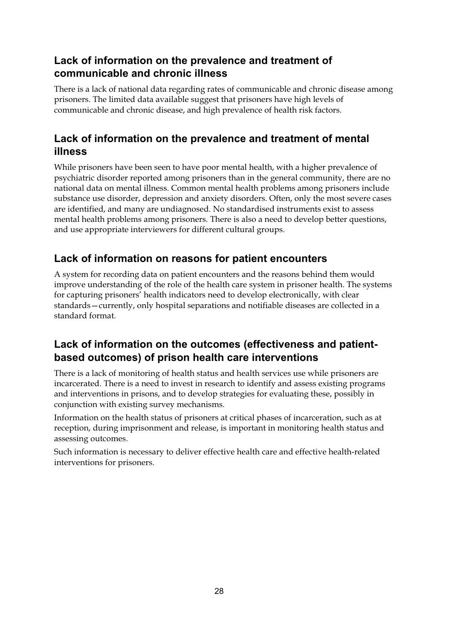### **Lack of information on the prevalence and treatment of communicable and chronic illness**

There is a lack of national data regarding rates of communicable and chronic disease among prisoners. The limited data available suggest that prisoners have high levels of communicable and chronic disease, and high prevalence of health risk factors.

### **Lack of information on the prevalence and treatment of mental illness**

While prisoners have been seen to have poor mental health, with a higher prevalence of psychiatric disorder reported among prisoners than in the general community, there are no national data on mental illness. Common mental health problems among prisoners include substance use disorder, depression and anxiety disorders. Often, only the most severe cases are identified, and many are undiagnosed. No standardised instruments exist to assess mental health problems among prisoners. There is also a need to develop better questions, and use appropriate interviewers for different cultural groups.

### **Lack of information on reasons for patient encounters**

A system for recording data on patient encounters and the reasons behind them would improve understanding of the role of the health care system in prisoner health. The systems for capturing prisoners' health indicators need to develop electronically, with clear standards—currently, only hospital separations and notifiable diseases are collected in a standard format.

### **Lack of information on the outcomes (effectiveness and patientbased outcomes) of prison health care interventions**

There is a lack of monitoring of health status and health services use while prisoners are incarcerated. There is a need to invest in research to identify and assess existing programs and interventions in prisons, and to develop strategies for evaluating these, possibly in conjunction with existing survey mechanisms.

Information on the health status of prisoners at critical phases of incarceration, such as at reception, during imprisonment and release, is important in monitoring health status and assessing outcomes.

Such information is necessary to deliver effective health care and effective health-related interventions for prisoners.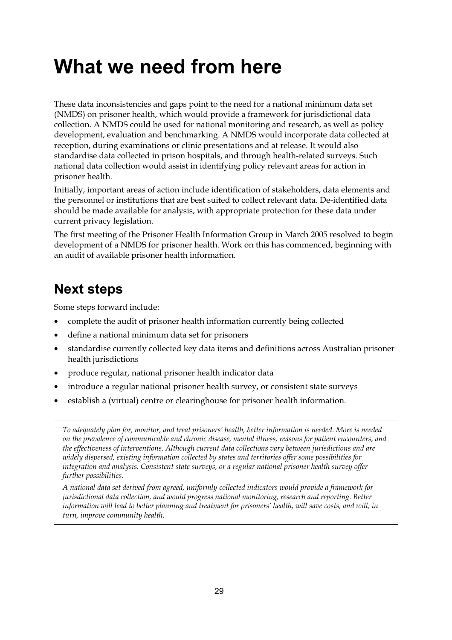# **What we need from here**

These data inconsistencies and gaps point to the need for a national minimum data set (NMDS) on prisoner health, which would provide a framework for jurisdictional data collection. A NMDS could be used for national monitoring and research, as well as policy development, evaluation and benchmarking. A NMDS would incorporate data collected at reception, during examinations or clinic presentations and at release. It would also standardise data collected in prison hospitals, and through health-related surveys. Such national data collection would assist in identifying policy relevant areas for action in prisoner health.

Initially, important areas of action include identification of stakeholders, data elements and the personnel or institutions that are best suited to collect relevant data. De-identified data should be made available for analysis, with appropriate protection for these data under current privacy legislation.

The first meeting of the Prisoner Health Information Group in March 2005 resolved to begin development of a NMDS for prisoner health. Work on this has commenced, beginning with an audit of available prisoner health information.

# **Next steps**

Some steps forward include:

- complete the audit of prisoner health information currently being collected
- define a national minimum data set for prisoners
- standardise currently collected key data items and definitions across Australian prisoner health jurisdictions
- produce regular, national prisoner health indicator data
- introduce a regular national prisoner health survey, or consistent state surveys
- establish a (virtual) centre or clearinghouse for prisoner health information.

*To adequately plan for, monitor, and treat prisoners' health, better information is needed. More is needed on the prevalence of communicable and chronic disease, mental illness, reasons for patient encounters, and the effectiveness of interventions. Although current data collections vary between jurisdictions and are widely dispersed, existing information collected by states and territories offer some possibilities for integration and analysis. Consistent state surveys, or a regular national prisoner health survey offer further possibilities.* 

*A national data set derived from agreed, uniformly collected indicators would provide a framework for jurisdictional data collection, and would progress national monitoring, research and reporting. Better information will lead to better planning and treatment for prisoners' health, will save costs, and will, in turn, improve community health.*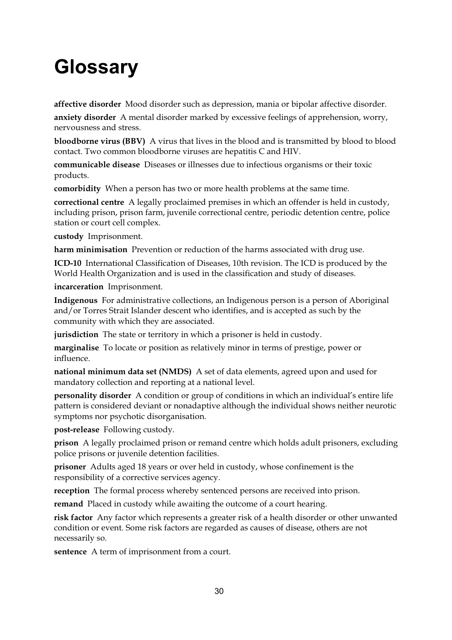# **Glossary**

**affective disorder** Mood disorder such as depression, mania or bipolar affective disorder.

**anxiety disorder** A mental disorder marked by excessive feelings of apprehension, worry, nervousness and stress.

**bloodborne virus (BBV)** A virus that lives in the blood and is transmitted by blood to blood contact. Two common bloodborne viruses are hepatitis C and HIV.

**communicable disease** Diseases or illnesses due to infectious organisms or their toxic products.

**comorbidity** When a person has two or more health problems at the same time.

**correctional centre** A legally proclaimed premises in which an offender is held in custody, including prison, prison farm, juvenile correctional centre, periodic detention centre, police station or court cell complex.

**custody** Imprisonment.

**harm minimisation** Prevention or reduction of the harms associated with drug use.

**ICD-10** International Classification of Diseases, 10th revision. The ICD is produced by the World Health Organization and is used in the classification and study of diseases.

**incarceration** Imprisonment.

**Indigenous** For administrative collections, an Indigenous person is a person of Aboriginal and/or Torres Strait Islander descent who identifies, and is accepted as such by the community with which they are associated.

**jurisdiction** The state or territory in which a prisoner is held in custody.

**marginalise** To locate or position as relatively minor in terms of prestige, power or influence.

**national minimum data set (NMDS)** A set of data elements, agreed upon and used for mandatory collection and reporting at a national level.

**personality disorder** A condition or group of conditions in which an individual's entire life pattern is considered deviant or nonadaptive although the individual shows neither neurotic symptoms nor psychotic disorganisation.

**post-release** Following custody.

**prison** A legally proclaimed prison or remand centre which holds adult prisoners, excluding police prisons or juvenile detention facilities.

**prisoner** Adults aged 18 years or over held in custody, whose confinement is the responsibility of a corrective services agency.

**reception** The formal process whereby sentenced persons are received into prison.

**remand** Placed in custody while awaiting the outcome of a court hearing.

**risk factor** Any factor which represents a greater risk of a health disorder or other unwanted condition or event. Some risk factors are regarded as causes of disease, others are not necessarily so.

**sentence** A term of imprisonment from a court.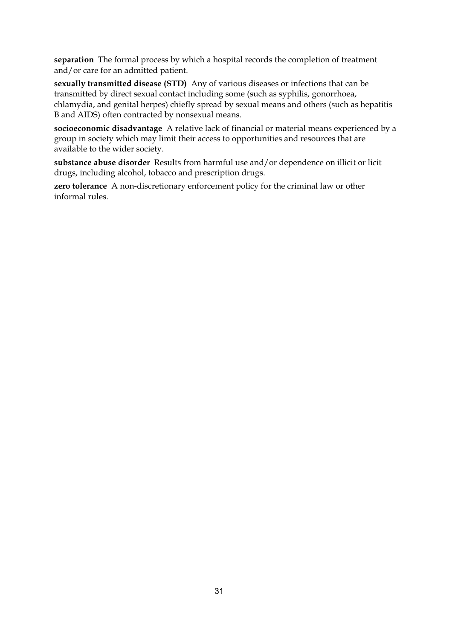**separation** The formal process by which a hospital records the completion of treatment and/or care for an admitted patient.

**sexually transmitted disease (STD)** Any of various diseases or infections that can be transmitted by direct sexual contact including some (such as syphilis, gonorrhoea, chlamydia, and genital herpes) chiefly spread by sexual means and others (such as hepatitis B and AIDS) often contracted by nonsexual means.

**socioeconomic disadvantage** A relative lack of financial or material means experienced by a group in society which may limit their access to opportunities and resources that are available to the wider society.

**substance abuse disorder** Results from harmful use and/or dependence on illicit or licit drugs, including alcohol, tobacco and prescription drugs.

**zero tolerance** A non-discretionary enforcement policy for the criminal law or other informal rules.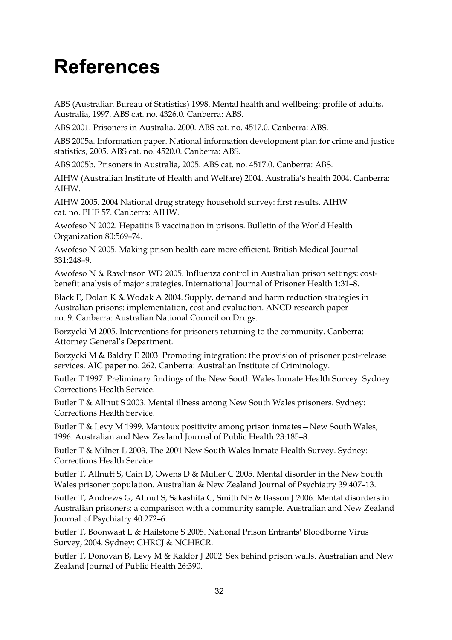# **References**

ABS (Australian Bureau of Statistics) 1998. Mental health and wellbeing: profile of adults, Australia, 1997. ABS cat. no. 4326.0. Canberra: ABS.

ABS 2001. Prisoners in Australia, 2000. ABS cat. no. 4517.0. Canberra: ABS.

ABS 2005a. Information paper. National information development plan for crime and justice statistics, 2005. ABS cat. no. 4520.0. Canberra: ABS.

ABS 2005b. Prisoners in Australia, 2005. ABS cat. no. 4517.0. Canberra: ABS.

AIHW (Australian Institute of Health and Welfare) 2004. Australia's health 2004. Canberra: AIHW.

AIHW 2005. 2004 National drug strategy household survey: first results. AIHW cat. no. PHE 57. Canberra: AIHW.

Awofeso N 2002. Hepatitis B vaccination in prisons. Bulletin of the World Health Organization 80:569–74.

Awofeso N 2005. Making prison health care more efficient. British Medical Journal 331:248–9.

Awofeso N & Rawlinson WD 2005. Influenza control in Australian prison settings: costbenefit analysis of major strategies. International Journal of Prisoner Health 1:31–8.

Black E, Dolan K & Wodak A 2004. Supply, demand and harm reduction strategies in Australian prisons: implementation, cost and evaluation. ANCD research paper no. 9. Canberra: Australian National Council on Drugs.

Borzycki M 2005. Interventions for prisoners returning to the community. Canberra: Attorney General's Department.

Borzycki M & Baldry E 2003. Promoting integration: the provision of prisoner post-release services. AIC paper no. 262. Canberra: Australian Institute of Criminology.

Butler T 1997. Preliminary findings of the New South Wales Inmate Health Survey. Sydney: Corrections Health Service.

Butler T & Allnut S 2003. Mental illness among New South Wales prisoners. Sydney: Corrections Health Service.

Butler T & Levy M 1999. Mantoux positivity among prison inmates—New South Wales, 1996. Australian and New Zealand Journal of Public Health 23:185–8.

Butler T & Milner L 2003. The 2001 New South Wales Inmate Health Survey. Sydney: Corrections Health Service.

Butler T, Allnutt S, Cain D, Owens D & Muller C 2005. Mental disorder in the New South Wales prisoner population. Australian & New Zealand Journal of Psychiatry 39:407–13.

Butler T, Andrews G, Allnut S, Sakashita C, Smith NE & Basson J 2006. Mental disorders in Australian prisoners: a comparison with a community sample. Australian and New Zealand Journal of Psychiatry 40:272–6.

Butler T, Boonwaat L & Hailstone S 2005. National Prison Entrants' Bloodborne Virus Survey, 2004. Sydney: CHRCJ & NCHECR.

Butler T, Donovan B, Levy M & Kaldor J 2002. Sex behind prison walls. Australian and New Zealand Journal of Public Health 26:390.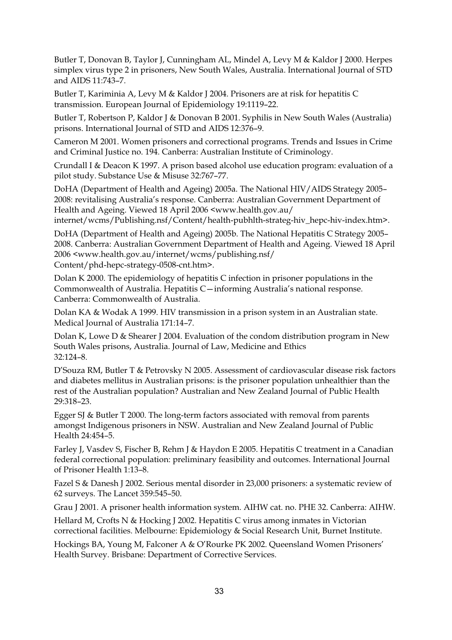Butler T, Donovan B, Taylor J, Cunningham AL, Mindel A, Levy M & Kaldor J 2000. Herpes simplex virus type 2 in prisoners, New South Wales, Australia. International Journal of STD and AIDS 11:743–7.

Butler T, Kariminia A, Levy M & Kaldor J 2004. Prisoners are at risk for hepatitis C transmission. European Journal of Epidemiology 19:1119–22.

Butler T, Robertson P, Kaldor J & Donovan B 2001. Syphilis in New South Wales (Australia) prisons. International Journal of STD and AIDS 12:376–9.

Cameron M 2001. Women prisoners and correctional programs. Trends and Issues in Crime and Criminal Justice no. 194. Canberra: Australian Institute of Criminology.

Crundall I & Deacon K 1997. A prison based alcohol use education program: evaluation of a pilot study. Substance Use & Misuse 32:767–77.

DoHA (Department of Health and Ageing) 2005a. The National HIV/AIDS Strategy 2005– 2008: revitalising Australia's response. Canberra: Australian Government Department of Health and Ageing. Viewed 18 April 2006 <www.health.gov.au/

internet/wcms/Publishing.nsf/Content/health-pubhlth-strateg-hiv\_hepc-hiv-index.htm>.

DoHA (Department of Health and Ageing) 2005b. The National Hepatitis C Strategy 2005– 2008. Canberra: Australian Government Department of Health and Ageing. Viewed 18 April 2006 <www.health.gov.au/internet/wcms/publishing.nsf/ Content/phd-hepc-strategy-0508-cnt.htm>.

Dolan K 2000. The epidemiology of hepatitis C infection in prisoner populations in the Commonwealth of Australia. Hepatitis C—informing Australia's national response. Canberra: Commonwealth of Australia.

Dolan KA & Wodak A 1999. HIV transmission in a prison system in an Australian state. Medical Journal of Australia 171:14–7.

Dolan K, Lowe D & Shearer J 2004. Evaluation of the condom distribution program in New South Wales prisons, Australia. Journal of Law, Medicine and Ethics 32:124–8.

D'Souza RM, Butler T & Petrovsky N 2005. Assessment of cardiovascular disease risk factors and diabetes mellitus in Australian prisons: is the prisoner population unhealthier than the rest of the Australian population? Australian and New Zealand Journal of Public Health 29:318–23.

Egger SJ & Butler T 2000. The long-term factors associated with removal from parents amongst Indigenous prisoners in NSW. Australian and New Zealand Journal of Public Health 24:454–5.

Farley J, Vasdev S, Fischer B, Rehm J & Haydon E 2005. Hepatitis C treatment in a Canadian federal correctional population: preliminary feasibility and outcomes. International Journal of Prisoner Health 1:13–8.

Fazel S & Danesh J 2002. Serious mental disorder in 23,000 prisoners: a systematic review of 62 surveys. The Lancet 359:545–50.

Grau J 2001. A prisoner health information system. AIHW cat. no. PHE 32. Canberra: AIHW.

Hellard M, Crofts N & Hocking J 2002. Hepatitis C virus among inmates in Victorian correctional facilities. Melbourne: Epidemiology & Social Research Unit, Burnet Institute.

Hockings BA, Young M, Falconer A & O'Rourke PK 2002. Queensland Women Prisoners' Health Survey. Brisbane: Department of Corrective Services.